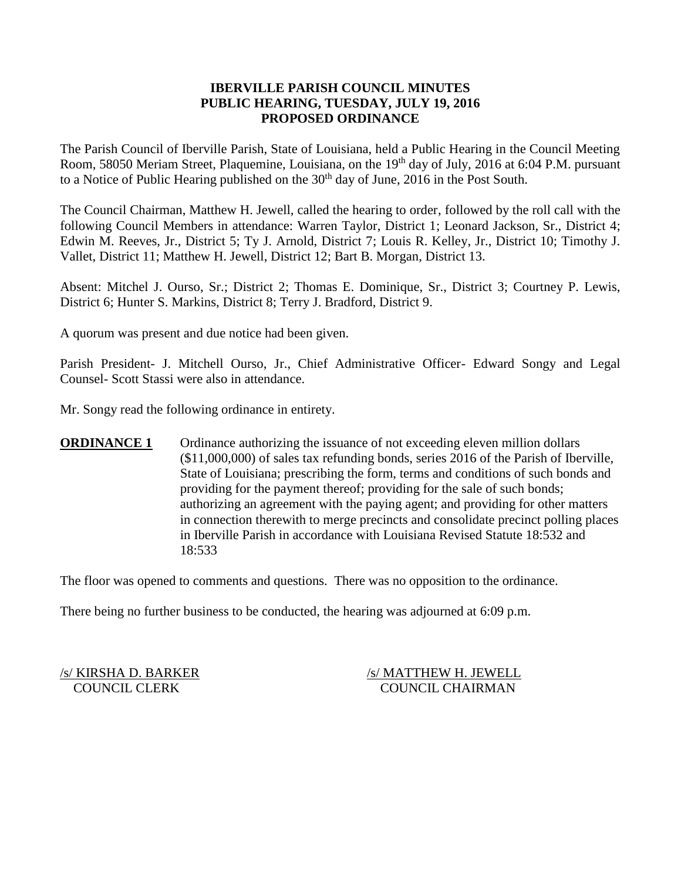### **IBERVILLE PARISH COUNCIL MINUTES PUBLIC HEARING, TUESDAY, JULY 19, 2016 PROPOSED ORDINANCE**

The Parish Council of Iberville Parish, State of Louisiana, held a Public Hearing in the Council Meeting Room, 58050 Meriam Street, Plaquemine, Louisiana, on the 19<sup>th</sup> day of July, 2016 at 6:04 P.M. pursuant to a Notice of Public Hearing published on the  $30<sup>th</sup>$  day of June, 2016 in the Post South.

The Council Chairman, Matthew H. Jewell, called the hearing to order, followed by the roll call with the following Council Members in attendance: Warren Taylor, District 1; Leonard Jackson, Sr., District 4; Edwin M. Reeves, Jr., District 5; Ty J. Arnold, District 7; Louis R. Kelley, Jr., District 10; Timothy J. Vallet, District 11; Matthew H. Jewell, District 12; Bart B. Morgan, District 13.

Absent: Mitchel J. Ourso, Sr.; District 2; Thomas E. Dominique, Sr., District 3; Courtney P. Lewis, District 6; Hunter S. Markins, District 8; Terry J. Bradford, District 9.

A quorum was present and due notice had been given.

Parish President- J. Mitchell Ourso, Jr., Chief Administrative Officer- Edward Songy and Legal Counsel- Scott Stassi were also in attendance.

Mr. Songy read the following ordinance in entirety.

**ORDINANCE 1** Ordinance authorizing the issuance of not exceeding eleven million dollars (\$11,000,000) of sales tax refunding bonds, series 2016 of the Parish of Iberville, State of Louisiana; prescribing the form, terms and conditions of such bonds and providing for the payment thereof; providing for the sale of such bonds; authorizing an agreement with the paying agent; and providing for other matters in connection therewith to merge precincts and consolidate precinct polling places in Iberville Parish in accordance with Louisiana Revised Statute 18:532 and 18:533

The floor was opened to comments and questions. There was no opposition to the ordinance.

There being no further business to be conducted, the hearing was adjourned at 6:09 p.m.

/s/ KIRSHA D. BARKER /s/ MATTHEW H. JEWELL COUNCIL CLERK COUNCIL CHAIRMAN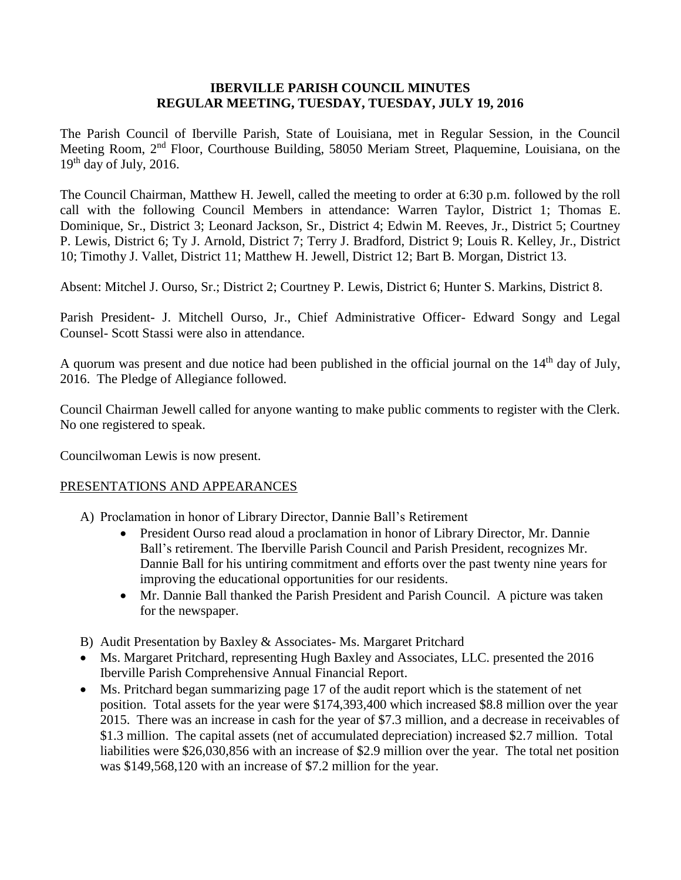### **IBERVILLE PARISH COUNCIL MINUTES REGULAR MEETING, TUESDAY, TUESDAY, JULY 19, 2016**

The Parish Council of Iberville Parish, State of Louisiana, met in Regular Session, in the Council Meeting Room, 2nd Floor, Courthouse Building, 58050 Meriam Street, Plaquemine, Louisiana, on the  $19<sup>th</sup>$  day of July, 2016.

The Council Chairman, Matthew H. Jewell, called the meeting to order at 6:30 p.m. followed by the roll call with the following Council Members in attendance: Warren Taylor, District 1; Thomas E. Dominique, Sr., District 3; Leonard Jackson, Sr., District 4; Edwin M. Reeves, Jr., District 5; Courtney P. Lewis, District 6; Ty J. Arnold, District 7; Terry J. Bradford, District 9; Louis R. Kelley, Jr., District 10; Timothy J. Vallet, District 11; Matthew H. Jewell, District 12; Bart B. Morgan, District 13.

Absent: Mitchel J. Ourso, Sr.; District 2; Courtney P. Lewis, District 6; Hunter S. Markins, District 8.

Parish President- J. Mitchell Ourso, Jr., Chief Administrative Officer- Edward Songy and Legal Counsel- Scott Stassi were also in attendance.

A quorum was present and due notice had been published in the official journal on the 14<sup>th</sup> day of July, 2016. The Pledge of Allegiance followed.

Council Chairman Jewell called for anyone wanting to make public comments to register with the Clerk. No one registered to speak.

Councilwoman Lewis is now present.

### PRESENTATIONS AND APPEARANCES

- A) Proclamation in honor of Library Director, Dannie Ball's Retirement
	- President Ourso read aloud a proclamation in honor of Library Director, Mr. Dannie Ball's retirement. The Iberville Parish Council and Parish President, recognizes Mr. Dannie Ball for his untiring commitment and efforts over the past twenty nine years for improving the educational opportunities for our residents.
	- Mr. Dannie Ball thanked the Parish President and Parish Council. A picture was taken for the newspaper.
- B) Audit Presentation by Baxley & Associates- Ms. Margaret Pritchard
- Ms. Margaret Pritchard, representing Hugh Baxley and Associates, LLC. presented the 2016 Iberville Parish Comprehensive Annual Financial Report.
- Ms. Pritchard began summarizing page 17 of the audit report which is the statement of net position. Total assets for the year were \$174,393,400 which increased \$8.8 million over the year 2015. There was an increase in cash for the year of \$7.3 million, and a decrease in receivables of \$1.3 million. The capital assets (net of accumulated depreciation) increased \$2.7 million. Total liabilities were \$26,030,856 with an increase of \$2.9 million over the year. The total net position was \$149,568,120 with an increase of \$7.2 million for the year.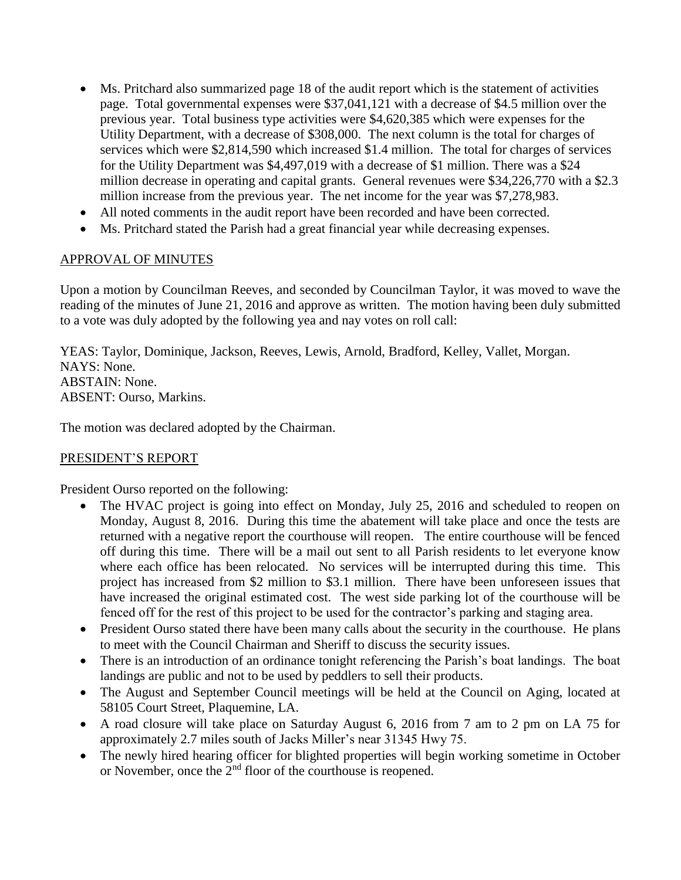- Ms. Pritchard also summarized page 18 of the audit report which is the statement of activities page. Total governmental expenses were \$37,041,121 with a decrease of \$4.5 million over the previous year. Total business type activities were \$4,620,385 which were expenses for the Utility Department, with a decrease of \$308,000. The next column is the total for charges of services which were \$2,814,590 which increased \$1.4 million. The total for charges of services for the Utility Department was \$4,497,019 with a decrease of \$1 million. There was a \$24 million decrease in operating and capital grants. General revenues were \$34,226,770 with a \$2.3 million increase from the previous year. The net income for the year was \$7,278,983.
- All noted comments in the audit report have been recorded and have been corrected.
- Ms. Pritchard stated the Parish had a great financial year while decreasing expenses.

#### APPROVAL OF MINUTES

Upon a motion by Councilman Reeves, and seconded by Councilman Taylor, it was moved to wave the reading of the minutes of June 21, 2016 and approve as written. The motion having been duly submitted to a vote was duly adopted by the following yea and nay votes on roll call:

YEAS: Taylor, Dominique, Jackson, Reeves, Lewis, Arnold, Bradford, Kelley, Vallet, Morgan. NAYS: None. ABSTAIN: None. ABSENT: Ourso, Markins.

The motion was declared adopted by the Chairman.

### PRESIDENT'S REPORT

President Ourso reported on the following:

- The HVAC project is going into effect on Monday, July 25, 2016 and scheduled to reopen on Monday, August 8, 2016. During this time the abatement will take place and once the tests are returned with a negative report the courthouse will reopen. The entire courthouse will be fenced off during this time. There will be a mail out sent to all Parish residents to let everyone know where each office has been relocated. No services will be interrupted during this time. This project has increased from \$2 million to \$3.1 million. There have been unforeseen issues that have increased the original estimated cost. The west side parking lot of the courthouse will be fenced off for the rest of this project to be used for the contractor's parking and staging area.
- President Ourso stated there have been many calls about the security in the courthouse. He plans to meet with the Council Chairman and Sheriff to discuss the security issues.
- There is an introduction of an ordinance tonight referencing the Parish's boat landings. The boat landings are public and not to be used by peddlers to sell their products.
- The August and September Council meetings will be held at the Council on Aging, located at 58105 Court Street, Plaquemine, LA.
- A road closure will take place on Saturday August 6, 2016 from 7 am to 2 pm on LA 75 for approximately 2.7 miles south of Jacks Miller's near 31345 Hwy 75.
- The newly hired hearing officer for blighted properties will begin working sometime in October or November, once the  $2<sup>nd</sup>$  floor of the courthouse is reopened.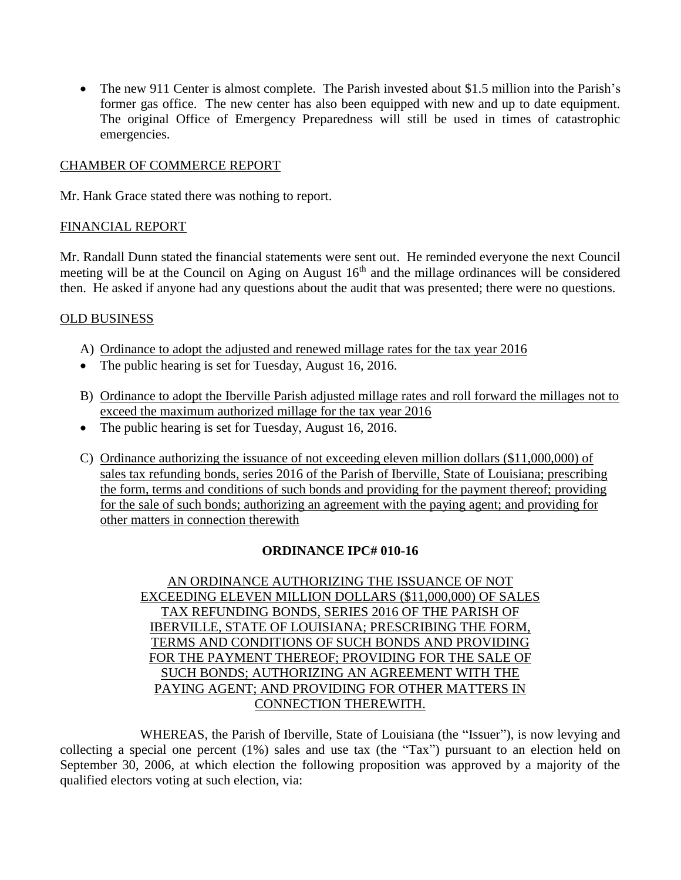• The new 911 Center is almost complete. The Parish invested about \$1.5 million into the Parish's former gas office. The new center has also been equipped with new and up to date equipment. The original Office of Emergency Preparedness will still be used in times of catastrophic emergencies.

### CHAMBER OF COMMERCE REPORT

Mr. Hank Grace stated there was nothing to report.

### FINANCIAL REPORT

Mr. Randall Dunn stated the financial statements were sent out. He reminded everyone the next Council meeting will be at the Council on Aging on August  $16<sup>th</sup>$  and the millage ordinances will be considered then. He asked if anyone had any questions about the audit that was presented; there were no questions.

### OLD BUSINESS

- A) Ordinance to adopt the adjusted and renewed millage rates for the tax year 2016
- The public hearing is set for Tuesday, August 16, 2016.
- B) Ordinance to adopt the Iberville Parish adjusted millage rates and roll forward the millages not to exceed the maximum authorized millage for the tax year 2016
- The public hearing is set for Tuesday, August 16, 2016.
- C) Ordinance authorizing the issuance of not exceeding eleven million dollars (\$11,000,000) of sales tax refunding bonds, series 2016 of the Parish of Iberville, State of Louisiana; prescribing the form, terms and conditions of such bonds and providing for the payment thereof; providing for the sale of such bonds; authorizing an agreement with the paying agent; and providing for other matters in connection therewith

# **ORDINANCE IPC# 010-16**

AN ORDINANCE AUTHORIZING THE ISSUANCE OF NOT EXCEEDING ELEVEN MILLION DOLLARS (\$11,000,000) OF SALES TAX REFUNDING BONDS, SERIES 2016 OF THE PARISH OF IBERVILLE, STATE OF LOUISIANA; PRESCRIBING THE FORM, TERMS AND CONDITIONS OF SUCH BONDS AND PROVIDING FOR THE PAYMENT THEREOF; PROVIDING FOR THE SALE OF SUCH BONDS; AUTHORIZING AN AGREEMENT WITH THE PAYING AGENT; AND PROVIDING FOR OTHER MATTERS IN CONNECTION THEREWITH.

WHEREAS, the Parish of Iberville, State of Louisiana (the "Issuer"), is now levying and collecting a special one percent (1%) sales and use tax (the "Tax") pursuant to an election held on September 30, 2006, at which election the following proposition was approved by a majority of the qualified electors voting at such election, via: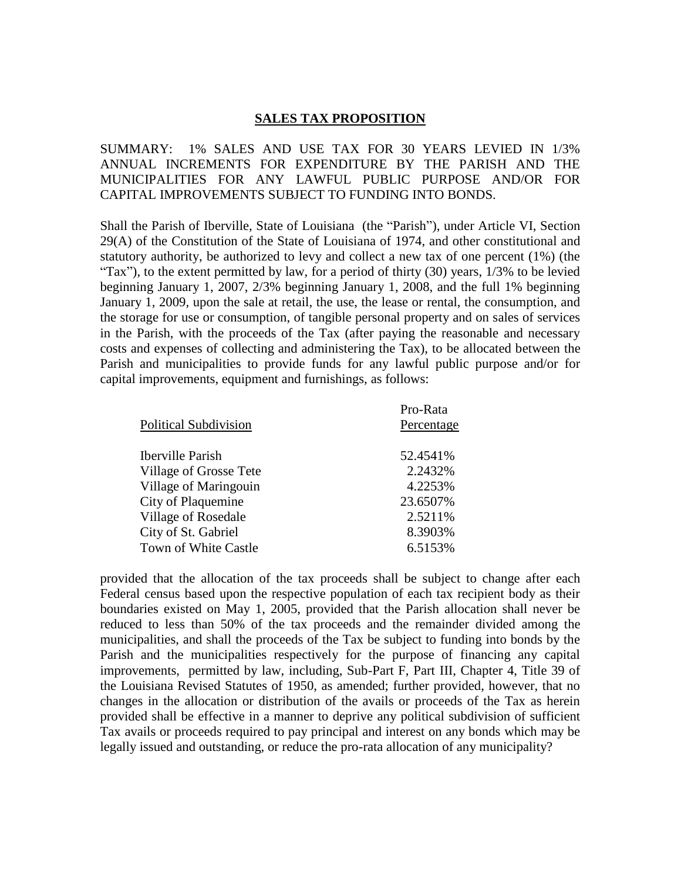#### **SALES TAX PROPOSITION**

SUMMARY: 1% SALES AND USE TAX FOR 30 YEARS LEVIED IN 1/3% ANNUAL INCREMENTS FOR EXPENDITURE BY THE PARISH AND THE MUNICIPALITIES FOR ANY LAWFUL PUBLIC PURPOSE AND/OR FOR CAPITAL IMPROVEMENTS SUBJECT TO FUNDING INTO BONDS.

Shall the Parish of Iberville, State of Louisiana (the "Parish"), under Article VI, Section 29(A) of the Constitution of the State of Louisiana of 1974, and other constitutional and statutory authority, be authorized to levy and collect a new tax of one percent (1%) (the "Tax"), to the extent permitted by law, for a period of thirty  $(30)$  years,  $1/3\%$  to be levied beginning January 1, 2007, 2/3% beginning January 1, 2008, and the full 1% beginning January 1, 2009, upon the sale at retail, the use, the lease or rental, the consumption, and the storage for use or consumption, of tangible personal property and on sales of services in the Parish, with the proceeds of the Tax (after paying the reasonable and necessary costs and expenses of collecting and administering the Tax), to be allocated between the Parish and municipalities to provide funds for any lawful public purpose and/or for capital improvements, equipment and furnishings, as follows:

| Pro-Rata   |
|------------|
| Percentage |
| 52.4541\%  |
|            |
| 2.2432%    |
| 4.2253%    |
| 23.6507%   |
| 2.5211%    |
| 8.3903%    |
| 6.5153%    |
|            |

provided that the allocation of the tax proceeds shall be subject to change after each Federal census based upon the respective population of each tax recipient body as their boundaries existed on May 1, 2005, provided that the Parish allocation shall never be reduced to less than 50% of the tax proceeds and the remainder divided among the municipalities, and shall the proceeds of the Tax be subject to funding into bonds by the Parish and the municipalities respectively for the purpose of financing any capital improvements, permitted by law, including, Sub-Part F, Part III, Chapter 4, Title 39 of the Louisiana Revised Statutes of 1950, as amended; further provided, however, that no changes in the allocation or distribution of the avails or proceeds of the Tax as herein provided shall be effective in a manner to deprive any political subdivision of sufficient Tax avails or proceeds required to pay principal and interest on any bonds which may be legally issued and outstanding, or reduce the pro-rata allocation of any municipality?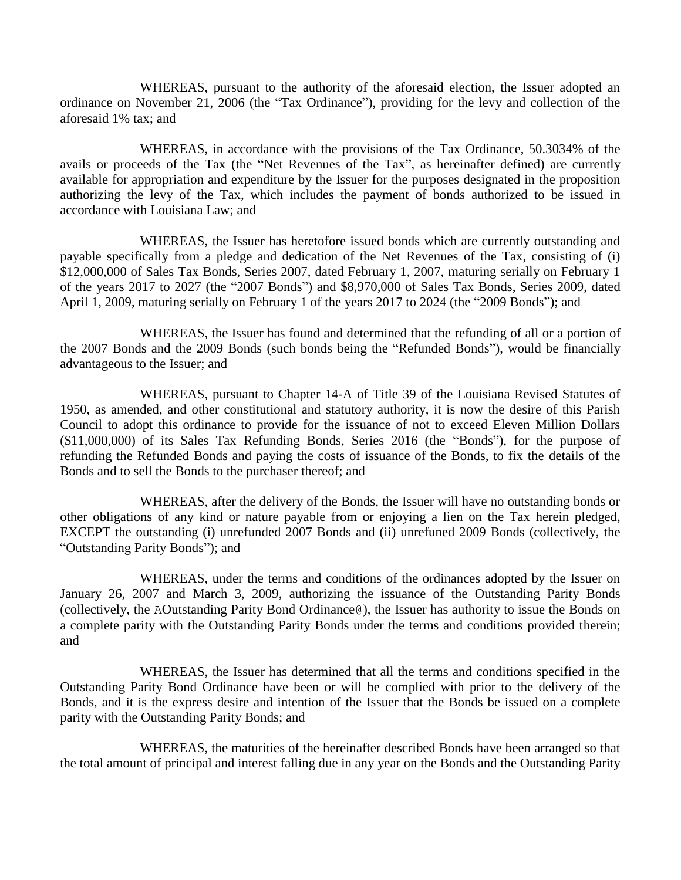WHEREAS, pursuant to the authority of the aforesaid election, the Issuer adopted an ordinance on November 21, 2006 (the "Tax Ordinance"), providing for the levy and collection of the aforesaid 1% tax; and

WHEREAS, in accordance with the provisions of the Tax Ordinance, 50.3034% of the avails or proceeds of the Tax (the "Net Revenues of the Tax", as hereinafter defined) are currently available for appropriation and expenditure by the Issuer for the purposes designated in the proposition authorizing the levy of the Tax, which includes the payment of bonds authorized to be issued in accordance with Louisiana Law; and

WHEREAS, the Issuer has heretofore issued bonds which are currently outstanding and payable specifically from a pledge and dedication of the Net Revenues of the Tax, consisting of (i) \$12,000,000 of Sales Tax Bonds, Series 2007, dated February 1, 2007, maturing serially on February 1 of the years 2017 to 2027 (the "2007 Bonds") and \$8,970,000 of Sales Tax Bonds, Series 2009, dated April 1, 2009, maturing serially on February 1 of the years 2017 to 2024 (the "2009 Bonds"); and

WHEREAS, the Issuer has found and determined that the refunding of all or a portion of the 2007 Bonds and the 2009 Bonds (such bonds being the "Refunded Bonds"), would be financially advantageous to the Issuer; and

WHEREAS, pursuant to Chapter 14-A of Title 39 of the Louisiana Revised Statutes of 1950, as amended, and other constitutional and statutory authority, it is now the desire of this Parish Council to adopt this ordinance to provide for the issuance of not to exceed Eleven Million Dollars (\$11,000,000) of its Sales Tax Refunding Bonds, Series 2016 (the "Bonds"), for the purpose of refunding the Refunded Bonds and paying the costs of issuance of the Bonds, to fix the details of the Bonds and to sell the Bonds to the purchaser thereof; and

WHEREAS, after the delivery of the Bonds, the Issuer will have no outstanding bonds or other obligations of any kind or nature payable from or enjoying a lien on the Tax herein pledged, EXCEPT the outstanding (i) unrefunded 2007 Bonds and (ii) unrefuned 2009 Bonds (collectively, the "Outstanding Parity Bonds"); and

WHEREAS, under the terms and conditions of the ordinances adopted by the Issuer on January 26, 2007 and March 3, 2009, authorizing the issuance of the Outstanding Parity Bonds (collectively, the AOutstanding Parity Bond Ordinance@), the Issuer has authority to issue the Bonds on a complete parity with the Outstanding Parity Bonds under the terms and conditions provided therein; and

WHEREAS, the Issuer has determined that all the terms and conditions specified in the Outstanding Parity Bond Ordinance have been or will be complied with prior to the delivery of the Bonds, and it is the express desire and intention of the Issuer that the Bonds be issued on a complete parity with the Outstanding Parity Bonds; and

WHEREAS, the maturities of the hereinafter described Bonds have been arranged so that the total amount of principal and interest falling due in any year on the Bonds and the Outstanding Parity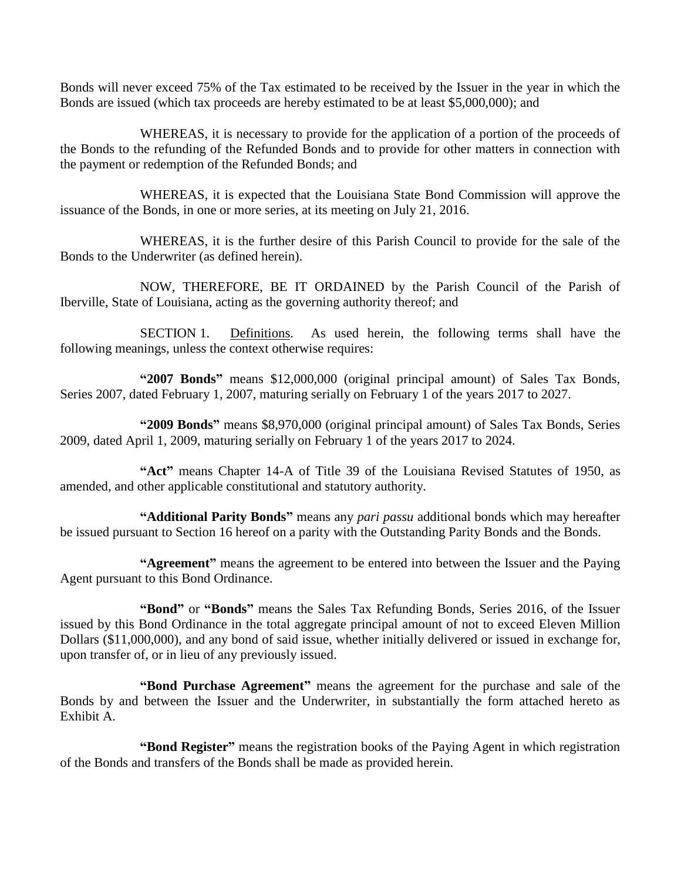Bonds will never exceed 75% of the Tax estimated to be received by the Issuer in the year in which the Bonds are issued (which tax proceeds are hereby estimated to be at least \$5,000,000); and

WHEREAS, it is necessary to provide for the application of a portion of the proceeds of the Bonds to the refunding of the Refunded Bonds and to provide for other matters in connection with the payment or redemption of the Refunded Bonds; and

WHEREAS, it is expected that the Louisiana State Bond Commission will approve the issuance of the Bonds, in one or more series, at its meeting on July 21, 2016.

WHEREAS, it is the further desire of this Parish Council to provide for the sale of the Bonds to the Underwriter (as defined herein).

NOW, THEREFORE, BE IT ORDAINED by the Parish Council of the Parish of Iberville, State of Louisiana, acting as the governing authority thereof; and

SECTION 1. Definitions. As used herein, the following terms shall have the following meanings, unless the context otherwise requires:

**"2007 Bonds"** means \$12,000,000 (original principal amount) of Sales Tax Bonds, Series 2007, dated February 1, 2007, maturing serially on February 1 of the years 2017 to 2027.

**"2009 Bonds"** means \$8,970,000 (original principal amount) of Sales Tax Bonds, Series 2009, dated April 1, 2009, maturing serially on February 1 of the years 2017 to 2024.

**"Act"** means Chapter 14-A of Title 39 of the Louisiana Revised Statutes of 1950, as amended, and other applicable constitutional and statutory authority.

**"Additional Parity Bonds"** means any *pari passu* additional bonds which may hereafter be issued pursuant to Section 16 hereof on a parity with the Outstanding Parity Bonds and the Bonds.

**"Agreement"** means the agreement to be entered into between the Issuer and the Paying Agent pursuant to this Bond Ordinance.

**"Bond"** or **"Bonds"** means the Sales Tax Refunding Bonds, Series 2016, of the Issuer issued by this Bond Ordinance in the total aggregate principal amount of not to exceed Eleven Million Dollars (\$11,000,000), and any bond of said issue, whether initially delivered or issued in exchange for, upon transfer of, or in lieu of any previously issued.

**"Bond Purchase Agreement"** means the agreement for the purchase and sale of the Bonds by and between the Issuer and the Underwriter, in substantially the form attached hereto as Exhibit A.

**"Bond Register"** means the registration books of the Paying Agent in which registration of the Bonds and transfers of the Bonds shall be made as provided herein.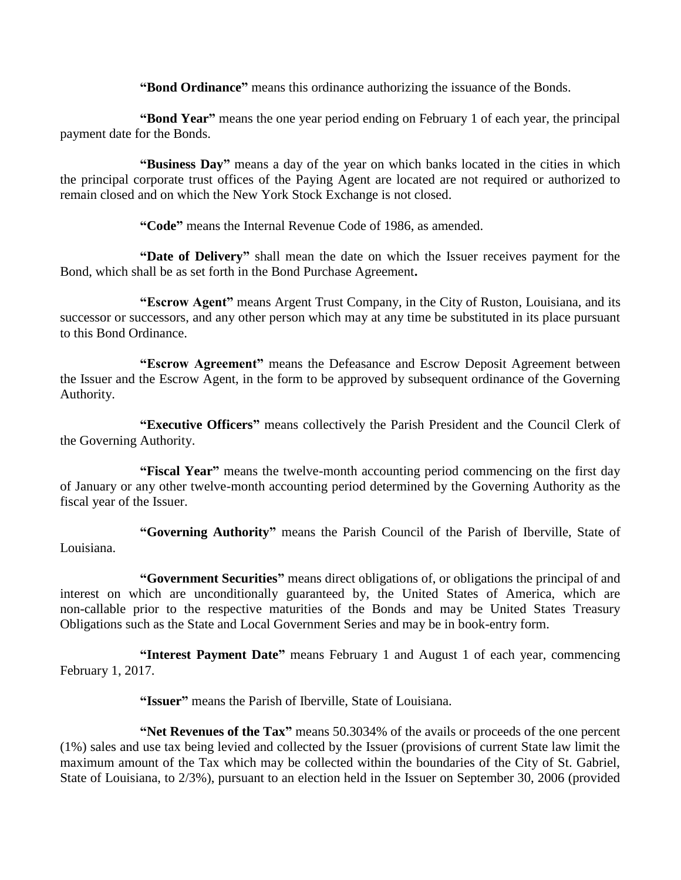**"Bond Ordinance"** means this ordinance authorizing the issuance of the Bonds.

**"Bond Year"** means the one year period ending on February 1 of each year, the principal payment date for the Bonds.

**"Business Day"** means a day of the year on which banks located in the cities in which the principal corporate trust offices of the Paying Agent are located are not required or authorized to remain closed and on which the New York Stock Exchange is not closed.

**"Code"** means the Internal Revenue Code of 1986, as amended.

**"Date of Delivery"** shall mean the date on which the Issuer receives payment for the Bond, which shall be as set forth in the Bond Purchase Agreement**.**

**"Escrow Agent"** means Argent Trust Company, in the City of Ruston, Louisiana, and its successor or successors, and any other person which may at any time be substituted in its place pursuant to this Bond Ordinance.

**"Escrow Agreement"** means the Defeasance and Escrow Deposit Agreement between the Issuer and the Escrow Agent, in the form to be approved by subsequent ordinance of the Governing Authority.

**"Executive Officers"** means collectively the Parish President and the Council Clerk of the Governing Authority.

**"Fiscal Year"** means the twelve-month accounting period commencing on the first day of January or any other twelve-month accounting period determined by the Governing Authority as the fiscal year of the Issuer.

**"Governing Authority"** means the Parish Council of the Parish of Iberville, State of Louisiana.

**"Government Securities"** means direct obligations of, or obligations the principal of and interest on which are unconditionally guaranteed by, the United States of America, which are non-callable prior to the respective maturities of the Bonds and may be United States Treasury Obligations such as the State and Local Government Series and may be in book-entry form.

**"Interest Payment Date"** means February 1 and August 1 of each year, commencing February 1, 2017.

**"Issuer"** means the Parish of Iberville, State of Louisiana.

**"Net Revenues of the Tax"** means 50.3034% of the avails or proceeds of the one percent (1%) sales and use tax being levied and collected by the Issuer (provisions of current State law limit the maximum amount of the Tax which may be collected within the boundaries of the City of St. Gabriel, State of Louisiana, to 2/3%), pursuant to an election held in the Issuer on September 30, 2006 (provided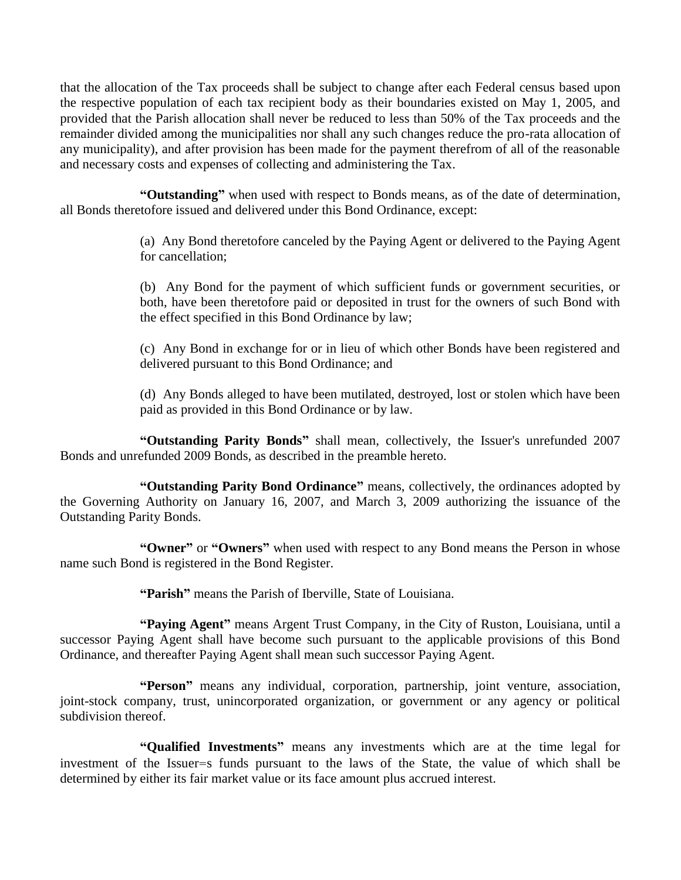that the allocation of the Tax proceeds shall be subject to change after each Federal census based upon the respective population of each tax recipient body as their boundaries existed on May 1, 2005, and provided that the Parish allocation shall never be reduced to less than 50% of the Tax proceeds and the remainder divided among the municipalities nor shall any such changes reduce the pro-rata allocation of any municipality), and after provision has been made for the payment therefrom of all of the reasonable and necessary costs and expenses of collecting and administering the Tax.

**"Outstanding"** when used with respect to Bonds means, as of the date of determination, all Bonds theretofore issued and delivered under this Bond Ordinance, except:

> (a) Any Bond theretofore canceled by the Paying Agent or delivered to the Paying Agent for cancellation;

> (b) Any Bond for the payment of which sufficient funds or government securities, or both, have been theretofore paid or deposited in trust for the owners of such Bond with the effect specified in this Bond Ordinance by law;

> (c) Any Bond in exchange for or in lieu of which other Bonds have been registered and delivered pursuant to this Bond Ordinance; and

> (d) Any Bonds alleged to have been mutilated, destroyed, lost or stolen which have been paid as provided in this Bond Ordinance or by law.

**"Outstanding Parity Bonds"** shall mean, collectively, the Issuer's unrefunded 2007 Bonds and unrefunded 2009 Bonds, as described in the preamble hereto.

**"Outstanding Parity Bond Ordinance"** means, collectively, the ordinances adopted by the Governing Authority on January 16, 2007, and March 3, 2009 authorizing the issuance of the Outstanding Parity Bonds.

**"Owner"** or **"Owners"** when used with respect to any Bond means the Person in whose name such Bond is registered in the Bond Register.

**"Parish"** means the Parish of Iberville, State of Louisiana.

**"Paying Agent"** means Argent Trust Company, in the City of Ruston, Louisiana, until a successor Paying Agent shall have become such pursuant to the applicable provisions of this Bond Ordinance, and thereafter Paying Agent shall mean such successor Paying Agent.

**"Person"** means any individual, corporation, partnership, joint venture, association, joint-stock company, trust, unincorporated organization, or government or any agency or political subdivision thereof.

**"Qualified Investments"** means any investments which are at the time legal for investment of the Issuer=s funds pursuant to the laws of the State, the value of which shall be determined by either its fair market value or its face amount plus accrued interest.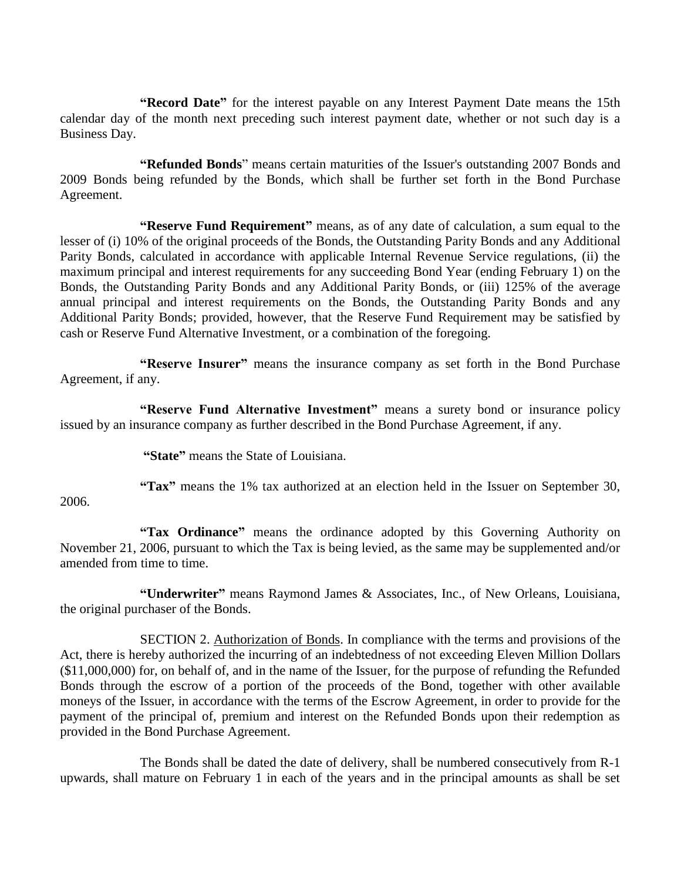**"Record Date"** for the interest payable on any Interest Payment Date means the 15th calendar day of the month next preceding such interest payment date, whether or not such day is a Business Day.

**"Refunded Bonds**" means certain maturities of the Issuer's outstanding 2007 Bonds and 2009 Bonds being refunded by the Bonds, which shall be further set forth in the Bond Purchase Agreement.

**"Reserve Fund Requirement"** means, as of any date of calculation, a sum equal to the lesser of (i) 10% of the original proceeds of the Bonds, the Outstanding Parity Bonds and any Additional Parity Bonds, calculated in accordance with applicable Internal Revenue Service regulations, (ii) the maximum principal and interest requirements for any succeeding Bond Year (ending February 1) on the Bonds, the Outstanding Parity Bonds and any Additional Parity Bonds, or (iii) 125% of the average annual principal and interest requirements on the Bonds, the Outstanding Parity Bonds and any Additional Parity Bonds; provided, however, that the Reserve Fund Requirement may be satisfied by cash or Reserve Fund Alternative Investment, or a combination of the foregoing.

**"Reserve Insurer"** means the insurance company as set forth in the Bond Purchase Agreement, if any.

**"Reserve Fund Alternative Investment"** means a surety bond or insurance policy issued by an insurance company as further described in the Bond Purchase Agreement, if any.

**"State"** means the State of Louisiana.

2006.

**"Tax"** means the 1% tax authorized at an election held in the Issuer on September 30,

**"Tax Ordinance"** means the ordinance adopted by this Governing Authority on November 21, 2006, pursuant to which the Tax is being levied, as the same may be supplemented and/or amended from time to time.

**"Underwriter"** means Raymond James & Associates, Inc., of New Orleans, Louisiana, the original purchaser of the Bonds.

SECTION 2. Authorization of Bonds. In compliance with the terms and provisions of the Act, there is hereby authorized the incurring of an indebtedness of not exceeding Eleven Million Dollars (\$11,000,000) for, on behalf of, and in the name of the Issuer, for the purpose of refunding the Refunded Bonds through the escrow of a portion of the proceeds of the Bond, together with other available moneys of the Issuer, in accordance with the terms of the Escrow Agreement, in order to provide for the payment of the principal of, premium and interest on the Refunded Bonds upon their redemption as provided in the Bond Purchase Agreement.

The Bonds shall be dated the date of delivery, shall be numbered consecutively from R-1 upwards, shall mature on February 1 in each of the years and in the principal amounts as shall be set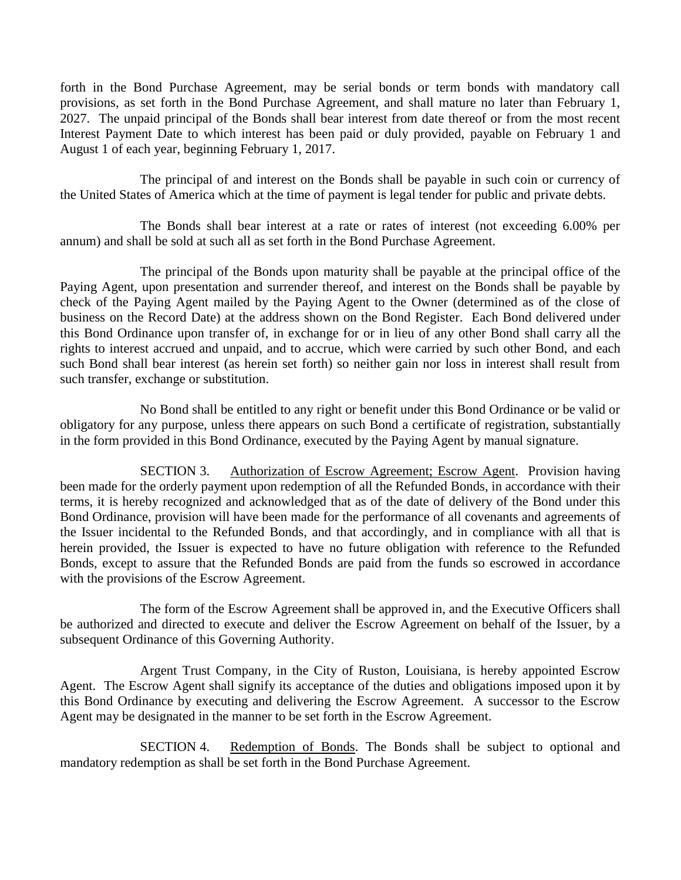forth in the Bond Purchase Agreement, may be serial bonds or term bonds with mandatory call provisions, as set forth in the Bond Purchase Agreement, and shall mature no later than February 1, 2027. The unpaid principal of the Bonds shall bear interest from date thereof or from the most recent Interest Payment Date to which interest has been paid or duly provided, payable on February 1 and August 1 of each year, beginning February 1, 2017.

The principal of and interest on the Bonds shall be payable in such coin or currency of the United States of America which at the time of payment is legal tender for public and private debts.

The Bonds shall bear interest at a rate or rates of interest (not exceeding 6.00% per annum) and shall be sold at such all as set forth in the Bond Purchase Agreement.

The principal of the Bonds upon maturity shall be payable at the principal office of the Paying Agent, upon presentation and surrender thereof, and interest on the Bonds shall be payable by check of the Paying Agent mailed by the Paying Agent to the Owner (determined as of the close of business on the Record Date) at the address shown on the Bond Register. Each Bond delivered under this Bond Ordinance upon transfer of, in exchange for or in lieu of any other Bond shall carry all the rights to interest accrued and unpaid, and to accrue, which were carried by such other Bond, and each such Bond shall bear interest (as herein set forth) so neither gain nor loss in interest shall result from such transfer, exchange or substitution.

No Bond shall be entitled to any right or benefit under this Bond Ordinance or be valid or obligatory for any purpose, unless there appears on such Bond a certificate of registration, substantially in the form provided in this Bond Ordinance, executed by the Paying Agent by manual signature.

SECTION 3. Authorization of Escrow Agreement; Escrow Agent. Provision having been made for the orderly payment upon redemption of all the Refunded Bonds, in accordance with their terms, it is hereby recognized and acknowledged that as of the date of delivery of the Bond under this Bond Ordinance, provision will have been made for the performance of all covenants and agreements of the Issuer incidental to the Refunded Bonds, and that accordingly, and in compliance with all that is herein provided, the Issuer is expected to have no future obligation with reference to the Refunded Bonds, except to assure that the Refunded Bonds are paid from the funds so escrowed in accordance with the provisions of the Escrow Agreement.

The form of the Escrow Agreement shall be approved in, and the Executive Officers shall be authorized and directed to execute and deliver the Escrow Agreement on behalf of the Issuer, by a subsequent Ordinance of this Governing Authority.

Argent Trust Company, in the City of Ruston, Louisiana, is hereby appointed Escrow Agent. The Escrow Agent shall signify its acceptance of the duties and obligations imposed upon it by this Bond Ordinance by executing and delivering the Escrow Agreement. A successor to the Escrow Agent may be designated in the manner to be set forth in the Escrow Agreement.

SECTION 4. Redemption of Bonds. The Bonds shall be subject to optional and mandatory redemption as shall be set forth in the Bond Purchase Agreement.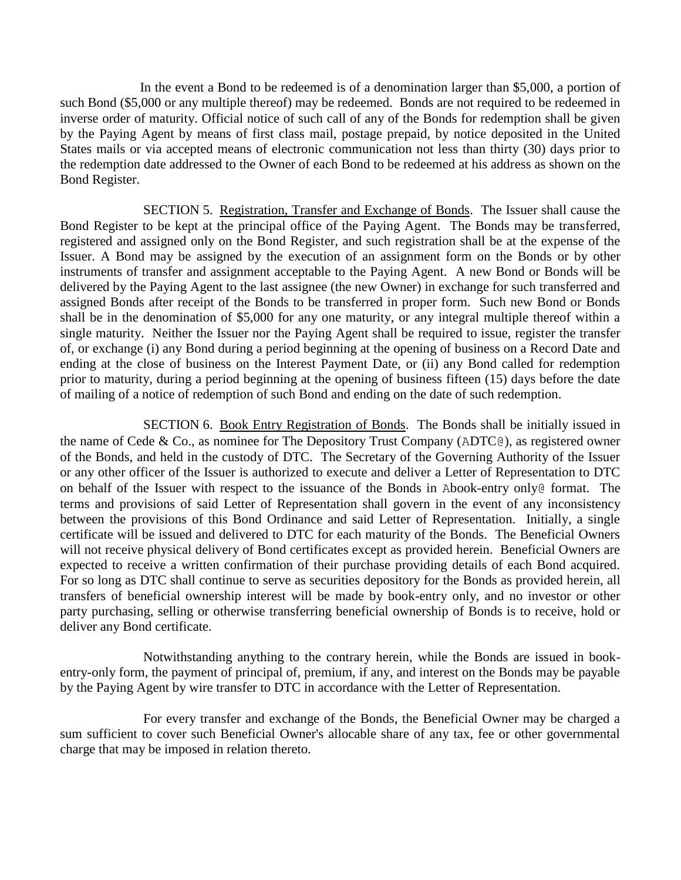In the event a Bond to be redeemed is of a denomination larger than \$5,000, a portion of such Bond (\$5,000 or any multiple thereof) may be redeemed. Bonds are not required to be redeemed in inverse order of maturity. Official notice of such call of any of the Bonds for redemption shall be given by the Paying Agent by means of first class mail, postage prepaid, by notice deposited in the United States mails or via accepted means of electronic communication not less than thirty (30) days prior to the redemption date addressed to the Owner of each Bond to be redeemed at his address as shown on the Bond Register.

SECTION 5. Registration, Transfer and Exchange of Bonds. The Issuer shall cause the Bond Register to be kept at the principal office of the Paying Agent. The Bonds may be transferred, registered and assigned only on the Bond Register, and such registration shall be at the expense of the Issuer. A Bond may be assigned by the execution of an assignment form on the Bonds or by other instruments of transfer and assignment acceptable to the Paying Agent. A new Bond or Bonds will be delivered by the Paying Agent to the last assignee (the new Owner) in exchange for such transferred and assigned Bonds after receipt of the Bonds to be transferred in proper form. Such new Bond or Bonds shall be in the denomination of \$5,000 for any one maturity, or any integral multiple thereof within a single maturity. Neither the Issuer nor the Paying Agent shall be required to issue, register the transfer of, or exchange (i) any Bond during a period beginning at the opening of business on a Record Date and ending at the close of business on the Interest Payment Date, or (ii) any Bond called for redemption prior to maturity, during a period beginning at the opening of business fifteen (15) days before the date of mailing of a notice of redemption of such Bond and ending on the date of such redemption.

SECTION 6. Book Entry Registration of Bonds. The Bonds shall be initially issued in the name of Cede & Co., as nominee for The Depository Trust Company (ADTC@), as registered owner of the Bonds, and held in the custody of DTC. The Secretary of the Governing Authority of the Issuer or any other officer of the Issuer is authorized to execute and deliver a Letter of Representation to DTC on behalf of the Issuer with respect to the issuance of the Bonds in Abook-entry only@ format. The terms and provisions of said Letter of Representation shall govern in the event of any inconsistency between the provisions of this Bond Ordinance and said Letter of Representation. Initially, a single certificate will be issued and delivered to DTC for each maturity of the Bonds. The Beneficial Owners will not receive physical delivery of Bond certificates except as provided herein. Beneficial Owners are expected to receive a written confirmation of their purchase providing details of each Bond acquired. For so long as DTC shall continue to serve as securities depository for the Bonds as provided herein, all transfers of beneficial ownership interest will be made by book-entry only, and no investor or other party purchasing, selling or otherwise transferring beneficial ownership of Bonds is to receive, hold or deliver any Bond certificate.

Notwithstanding anything to the contrary herein, while the Bonds are issued in bookentry-only form, the payment of principal of, premium, if any, and interest on the Bonds may be payable by the Paying Agent by wire transfer to DTC in accordance with the Letter of Representation.

For every transfer and exchange of the Bonds, the Beneficial Owner may be charged a sum sufficient to cover such Beneficial Owner's allocable share of any tax, fee or other governmental charge that may be imposed in relation thereto.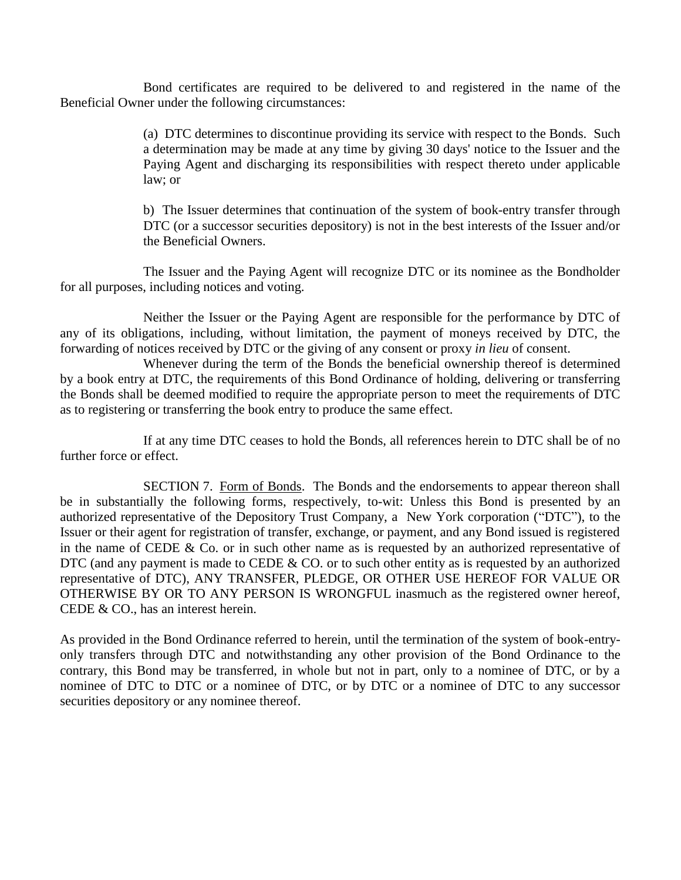Bond certificates are required to be delivered to and registered in the name of the Beneficial Owner under the following circumstances:

> (a) DTC determines to discontinue providing its service with respect to the Bonds. Such a determination may be made at any time by giving 30 days' notice to the Issuer and the Paying Agent and discharging its responsibilities with respect thereto under applicable law; or

> b) The Issuer determines that continuation of the system of book-entry transfer through DTC (or a successor securities depository) is not in the best interests of the Issuer and/or the Beneficial Owners.

The Issuer and the Paying Agent will recognize DTC or its nominee as the Bondholder for all purposes, including notices and voting.

Neither the Issuer or the Paying Agent are responsible for the performance by DTC of any of its obligations, including, without limitation, the payment of moneys received by DTC, the forwarding of notices received by DTC or the giving of any consent or proxy *in lieu* of consent.

Whenever during the term of the Bonds the beneficial ownership thereof is determined by a book entry at DTC, the requirements of this Bond Ordinance of holding, delivering or transferring the Bonds shall be deemed modified to require the appropriate person to meet the requirements of DTC as to registering or transferring the book entry to produce the same effect.

If at any time DTC ceases to hold the Bonds, all references herein to DTC shall be of no further force or effect.

SECTION 7. Form of Bonds. The Bonds and the endorsements to appear thereon shall be in substantially the following forms, respectively, to-wit: Unless this Bond is presented by an authorized representative of the Depository Trust Company, a New York corporation ("DTC"), to the Issuer or their agent for registration of transfer, exchange, or payment, and any Bond issued is registered in the name of CEDE & Co. or in such other name as is requested by an authorized representative of DTC (and any payment is made to CEDE  $&$  CO. or to such other entity as is requested by an authorized representative of DTC), ANY TRANSFER, PLEDGE, OR OTHER USE HEREOF FOR VALUE OR OTHERWISE BY OR TO ANY PERSON IS WRONGFUL inasmuch as the registered owner hereof, CEDE & CO., has an interest herein.

As provided in the Bond Ordinance referred to herein, until the termination of the system of book-entryonly transfers through DTC and notwithstanding any other provision of the Bond Ordinance to the contrary, this Bond may be transferred, in whole but not in part, only to a nominee of DTC, or by a nominee of DTC to DTC or a nominee of DTC, or by DTC or a nominee of DTC to any successor securities depository or any nominee thereof.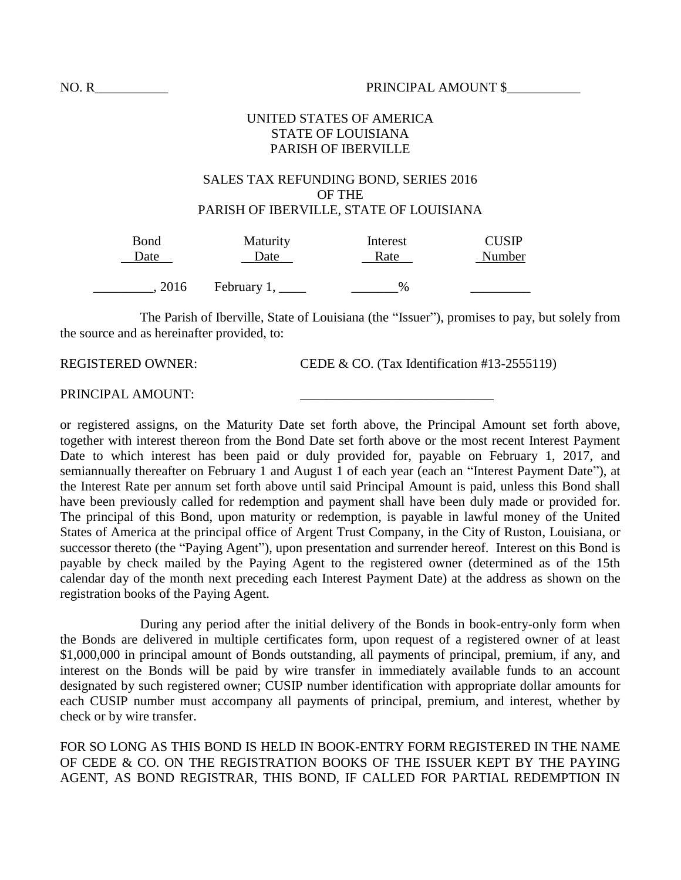### UNITED STATES OF AMERICA STATE OF LOUISIANA PARISH OF IBERVILLE

#### SALES TAX REFUNDING BOND, SERIES 2016 OF THE PARISH OF IBERVILLE, STATE OF LOUISIANA

| Bond | Maturity           | Interest | <b>CUSIP</b> |
|------|--------------------|----------|--------------|
| Date | Date               | Rate     | Number       |
|      |                    |          |              |
| 2016 | February $1, \_\_$ | $\%$     |              |

The Parish of Iberville, State of Louisiana (the "Issuer"), promises to pay, but solely from the source and as hereinafter provided, to:

REGISTERED OWNER: CEDE & CO. (Tax Identification #13-2555119)

PRINCIPAL AMOUNT:

or registered assigns, on the Maturity Date set forth above, the Principal Amount set forth above, together with interest thereon from the Bond Date set forth above or the most recent Interest Payment Date to which interest has been paid or duly provided for, payable on February 1, 2017, and semiannually thereafter on February 1 and August 1 of each year (each an "Interest Payment Date"), at the Interest Rate per annum set forth above until said Principal Amount is paid, unless this Bond shall have been previously called for redemption and payment shall have been duly made or provided for. The principal of this Bond, upon maturity or redemption, is payable in lawful money of the United States of America at the principal office of Argent Trust Company, in the City of Ruston, Louisiana, or successor thereto (the "Paying Agent"), upon presentation and surrender hereof. Interest on this Bond is payable by check mailed by the Paying Agent to the registered owner (determined as of the 15th calendar day of the month next preceding each Interest Payment Date) at the address as shown on the registration books of the Paying Agent.

During any period after the initial delivery of the Bonds in book-entry-only form when the Bonds are delivered in multiple certificates form, upon request of a registered owner of at least \$1,000,000 in principal amount of Bonds outstanding, all payments of principal, premium, if any, and interest on the Bonds will be paid by wire transfer in immediately available funds to an account designated by such registered owner; CUSIP number identification with appropriate dollar amounts for each CUSIP number must accompany all payments of principal, premium, and interest, whether by check or by wire transfer.

FOR SO LONG AS THIS BOND IS HELD IN BOOK-ENTRY FORM REGISTERED IN THE NAME OF CEDE & CO. ON THE REGISTRATION BOOKS OF THE ISSUER KEPT BY THE PAYING AGENT, AS BOND REGISTRAR, THIS BOND, IF CALLED FOR PARTIAL REDEMPTION IN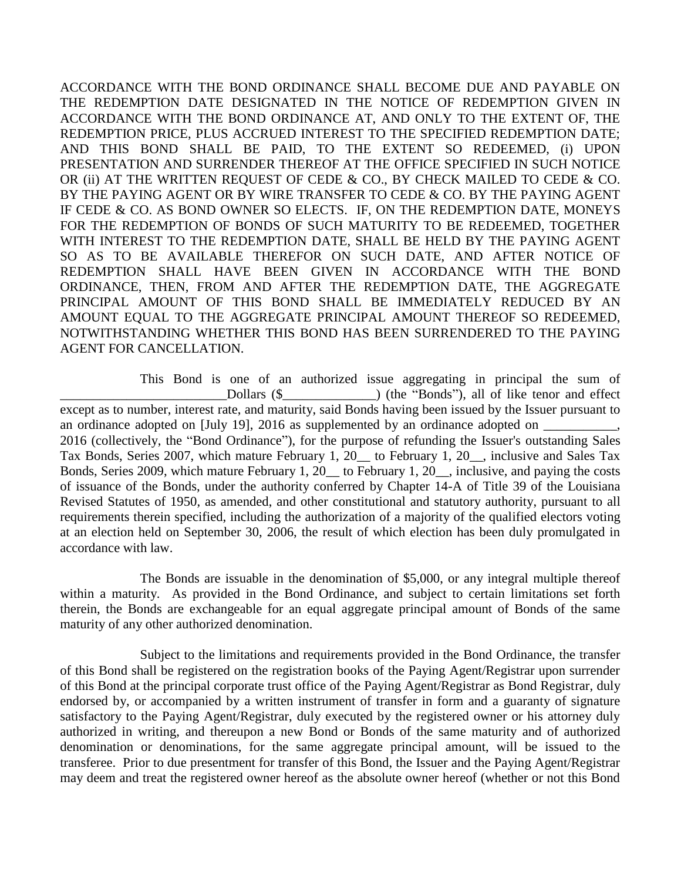ACCORDANCE WITH THE BOND ORDINANCE SHALL BECOME DUE AND PAYABLE ON THE REDEMPTION DATE DESIGNATED IN THE NOTICE OF REDEMPTION GIVEN IN ACCORDANCE WITH THE BOND ORDINANCE AT, AND ONLY TO THE EXTENT OF, THE REDEMPTION PRICE, PLUS ACCRUED INTEREST TO THE SPECIFIED REDEMPTION DATE; AND THIS BOND SHALL BE PAID, TO THE EXTENT SO REDEEMED, (i) UPON PRESENTATION AND SURRENDER THEREOF AT THE OFFICE SPECIFIED IN SUCH NOTICE OR (ii) AT THE WRITTEN REQUEST OF CEDE & CO., BY CHECK MAILED TO CEDE & CO. BY THE PAYING AGENT OR BY WIRE TRANSFER TO CEDE & CO. BY THE PAYING AGENT IF CEDE & CO. AS BOND OWNER SO ELECTS. IF, ON THE REDEMPTION DATE, MONEYS FOR THE REDEMPTION OF BONDS OF SUCH MATURITY TO BE REDEEMED, TOGETHER WITH INTEREST TO THE REDEMPTION DATE, SHALL BE HELD BY THE PAYING AGENT SO AS TO BE AVAILABLE THEREFOR ON SUCH DATE, AND AFTER NOTICE OF REDEMPTION SHALL HAVE BEEN GIVEN IN ACCORDANCE WITH THE BOND ORDINANCE, THEN, FROM AND AFTER THE REDEMPTION DATE, THE AGGREGATE PRINCIPAL AMOUNT OF THIS BOND SHALL BE IMMEDIATELY REDUCED BY AN AMOUNT EQUAL TO THE AGGREGATE PRINCIPAL AMOUNT THEREOF SO REDEEMED, NOTWITHSTANDING WHETHER THIS BOND HAS BEEN SURRENDERED TO THE PAYING AGENT FOR CANCELLATION.

This Bond is one of an authorized issue aggregating in principal the sum of \_\_\_\_\_\_\_\_\_\_\_\_\_\_\_\_\_\_\_\_\_\_\_\_\_Dollars (\$\_\_\_\_\_\_\_\_\_\_\_\_\_\_) (the "Bonds"), all of like tenor and effect except as to number, interest rate, and maturity, said Bonds having been issued by the Issuer pursuant to an ordinance adopted on [July 19], 2016 as supplemented by an ordinance adopted on \_\_\_\_\_\_\_\_\_\_, 2016 (collectively, the "Bond Ordinance"), for the purpose of refunding the Issuer's outstanding Sales Tax Bonds, Series 2007, which mature February 1, 20\_\_ to February 1, 20\_\_, inclusive and Sales Tax Bonds, Series 2009, which mature February 1, 20\_\_ to February 1, 20\_\_, inclusive, and paying the costs of issuance of the Bonds, under the authority conferred by Chapter 14-A of Title 39 of the Louisiana Revised Statutes of 1950, as amended, and other constitutional and statutory authority, pursuant to all requirements therein specified, including the authorization of a majority of the qualified electors voting at an election held on September 30, 2006, the result of which election has been duly promulgated in accordance with law.

The Bonds are issuable in the denomination of \$5,000, or any integral multiple thereof within a maturity. As provided in the Bond Ordinance, and subject to certain limitations set forth therein, the Bonds are exchangeable for an equal aggregate principal amount of Bonds of the same maturity of any other authorized denomination.

Subject to the limitations and requirements provided in the Bond Ordinance, the transfer of this Bond shall be registered on the registration books of the Paying Agent/Registrar upon surrender of this Bond at the principal corporate trust office of the Paying Agent/Registrar as Bond Registrar, duly endorsed by, or accompanied by a written instrument of transfer in form and a guaranty of signature satisfactory to the Paying Agent/Registrar, duly executed by the registered owner or his attorney duly authorized in writing, and thereupon a new Bond or Bonds of the same maturity and of authorized denomination or denominations, for the same aggregate principal amount, will be issued to the transferee. Prior to due presentment for transfer of this Bond, the Issuer and the Paying Agent/Registrar may deem and treat the registered owner hereof as the absolute owner hereof (whether or not this Bond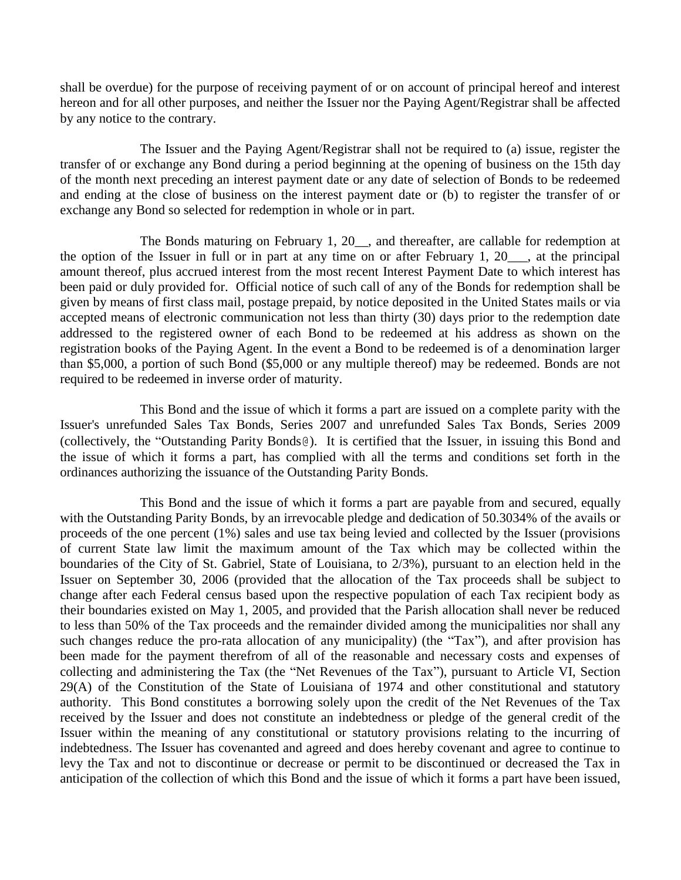shall be overdue) for the purpose of receiving payment of or on account of principal hereof and interest hereon and for all other purposes, and neither the Issuer nor the Paying Agent/Registrar shall be affected by any notice to the contrary.

The Issuer and the Paying Agent/Registrar shall not be required to (a) issue, register the transfer of or exchange any Bond during a period beginning at the opening of business on the 15th day of the month next preceding an interest payment date or any date of selection of Bonds to be redeemed and ending at the close of business on the interest payment date or (b) to register the transfer of or exchange any Bond so selected for redemption in whole or in part.

The Bonds maturing on February 1, 20<sub>\_\_</sub>, and thereafter, are callable for redemption at the option of the Issuer in full or in part at any time on or after February 1, 20\_\_\_, at the principal amount thereof, plus accrued interest from the most recent Interest Payment Date to which interest has been paid or duly provided for. Official notice of such call of any of the Bonds for redemption shall be given by means of first class mail, postage prepaid, by notice deposited in the United States mails or via accepted means of electronic communication not less than thirty (30) days prior to the redemption date addressed to the registered owner of each Bond to be redeemed at his address as shown on the registration books of the Paying Agent. In the event a Bond to be redeemed is of a denomination larger than \$5,000, a portion of such Bond (\$5,000 or any multiple thereof) may be redeemed. Bonds are not required to be redeemed in inverse order of maturity.

This Bond and the issue of which it forms a part are issued on a complete parity with the Issuer's unrefunded Sales Tax Bonds, Series 2007 and unrefunded Sales Tax Bonds, Series 2009 (collectively, the "Outstanding Parity Bonds@). It is certified that the Issuer, in issuing this Bond and the issue of which it forms a part, has complied with all the terms and conditions set forth in the ordinances authorizing the issuance of the Outstanding Parity Bonds.

This Bond and the issue of which it forms a part are payable from and secured, equally with the Outstanding Parity Bonds, by an irrevocable pledge and dedication of 50.3034% of the avails or proceeds of the one percent (1%) sales and use tax being levied and collected by the Issuer (provisions of current State law limit the maximum amount of the Tax which may be collected within the boundaries of the City of St. Gabriel, State of Louisiana, to 2/3%), pursuant to an election held in the Issuer on September 30, 2006 (provided that the allocation of the Tax proceeds shall be subject to change after each Federal census based upon the respective population of each Tax recipient body as their boundaries existed on May 1, 2005, and provided that the Parish allocation shall never be reduced to less than 50% of the Tax proceeds and the remainder divided among the municipalities nor shall any such changes reduce the pro-rata allocation of any municipality) (the "Tax"), and after provision has been made for the payment therefrom of all of the reasonable and necessary costs and expenses of collecting and administering the Tax (the "Net Revenues of the Tax"), pursuant to Article VI, Section 29(A) of the Constitution of the State of Louisiana of 1974 and other constitutional and statutory authority. This Bond constitutes a borrowing solely upon the credit of the Net Revenues of the Tax received by the Issuer and does not constitute an indebtedness or pledge of the general credit of the Issuer within the meaning of any constitutional or statutory provisions relating to the incurring of indebtedness. The Issuer has covenanted and agreed and does hereby covenant and agree to continue to levy the Tax and not to discontinue or decrease or permit to be discontinued or decreased the Tax in anticipation of the collection of which this Bond and the issue of which it forms a part have been issued,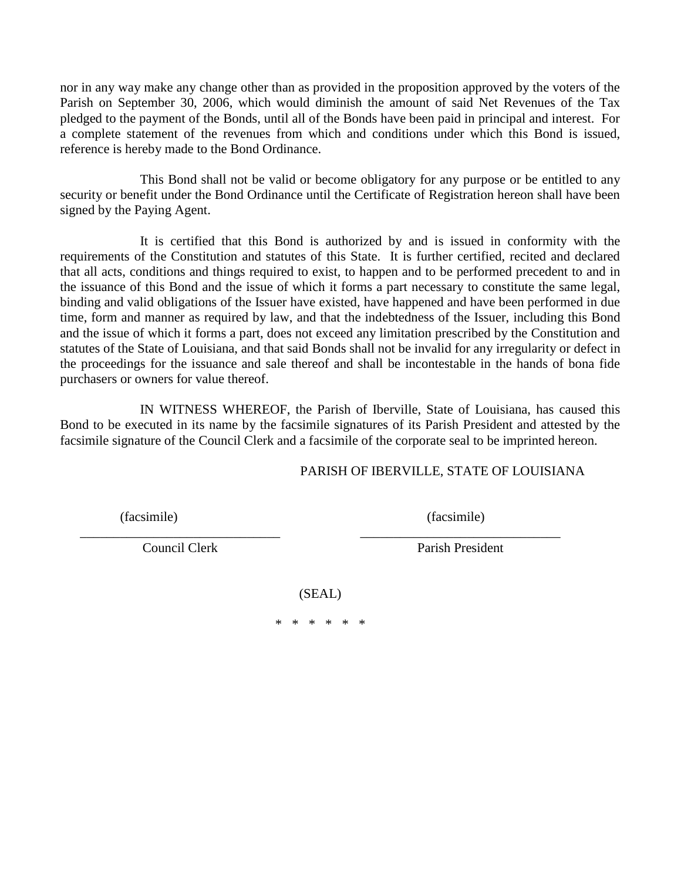nor in any way make any change other than as provided in the proposition approved by the voters of the Parish on September 30, 2006, which would diminish the amount of said Net Revenues of the Tax pledged to the payment of the Bonds, until all of the Bonds have been paid in principal and interest. For a complete statement of the revenues from which and conditions under which this Bond is issued, reference is hereby made to the Bond Ordinance.

This Bond shall not be valid or become obligatory for any purpose or be entitled to any security or benefit under the Bond Ordinance until the Certificate of Registration hereon shall have been signed by the Paying Agent.

It is certified that this Bond is authorized by and is issued in conformity with the requirements of the Constitution and statutes of this State. It is further certified, recited and declared that all acts, conditions and things required to exist, to happen and to be performed precedent to and in the issuance of this Bond and the issue of which it forms a part necessary to constitute the same legal, binding and valid obligations of the Issuer have existed, have happened and have been performed in due time, form and manner as required by law, and that the indebtedness of the Issuer, including this Bond and the issue of which it forms a part, does not exceed any limitation prescribed by the Constitution and statutes of the State of Louisiana, and that said Bonds shall not be invalid for any irregularity or defect in the proceedings for the issuance and sale thereof and shall be incontestable in the hands of bona fide purchasers or owners for value thereof.

IN WITNESS WHEREOF, the Parish of Iberville, State of Louisiana, has caused this Bond to be executed in its name by the facsimile signatures of its Parish President and attested by the facsimile signature of the Council Clerk and a facsimile of the corporate seal to be imprinted hereon.

# PARISH OF IBERVILLE, STATE OF LOUISIANA

(facsimile) (facsimile)

\_\_\_\_\_\_\_\_\_\_\_\_\_\_\_\_\_\_\_\_\_\_\_\_\_\_\_\_\_\_ \_\_\_\_\_\_\_\_\_\_\_\_\_\_\_\_\_\_\_\_\_\_\_\_\_\_\_\_\_\_

Council Clerk Parish President

(SEAL)

\* \* \* \* \* \*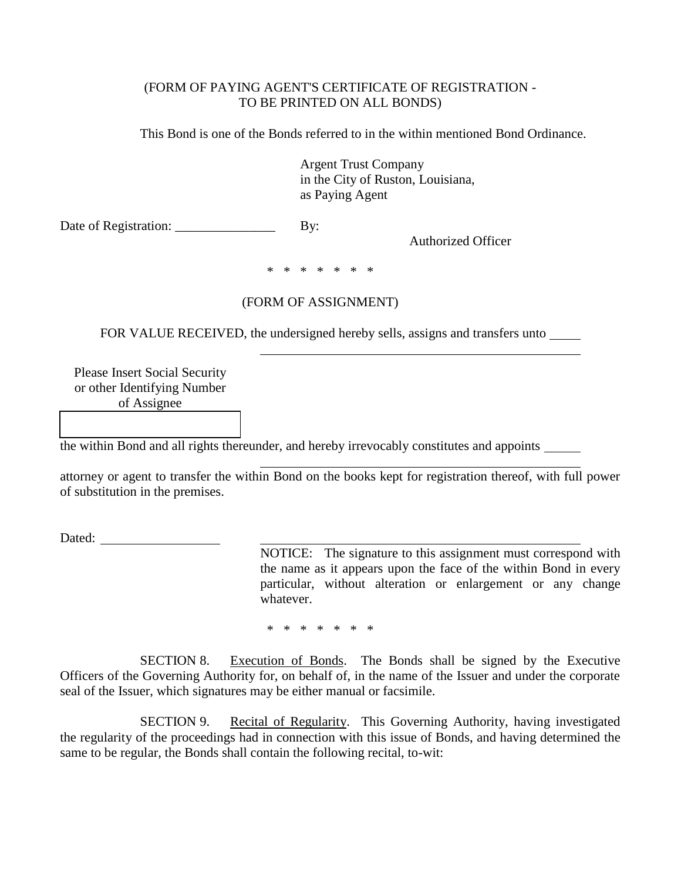### (FORM OF PAYING AGENT'S CERTIFICATE OF REGISTRATION - TO BE PRINTED ON ALL BONDS)

This Bond is one of the Bonds referred to in the within mentioned Bond Ordinance.

Argent Trust Company in the City of Ruston, Louisiana, as Paying Agent

Date of Registration: \_\_\_\_\_\_\_\_\_\_\_\_\_\_\_ By:

Authorized Officer

\* \* \* \* \* \* \*

# (FORM OF ASSIGNMENT)

FOR VALUE RECEIVED, the undersigned hereby sells, assigns and transfers unto \_\_\_\_\_

Please Insert Social Security or other Identifying Number of Assignee

the within Bond and all rights thereunder, and hereby irrevocably constitutes and appoints

attorney or agent to transfer the within Bond on the books kept for registration thereof, with full power of substitution in the premises.

Dated:

NOTICE: The signature to this assignment must correspond with the name as it appears upon the face of the within Bond in every particular, without alteration or enlargement or any change whatever.

\* \* \* \* \* \* \*

SECTION 8. Execution of Bonds. The Bonds shall be signed by the Executive Officers of the Governing Authority for, on behalf of, in the name of the Issuer and under the corporate seal of the Issuer, which signatures may be either manual or facsimile.

SECTION 9. Recital of Regularity. This Governing Authority, having investigated the regularity of the proceedings had in connection with this issue of Bonds, and having determined the same to be regular, the Bonds shall contain the following recital, to-wit: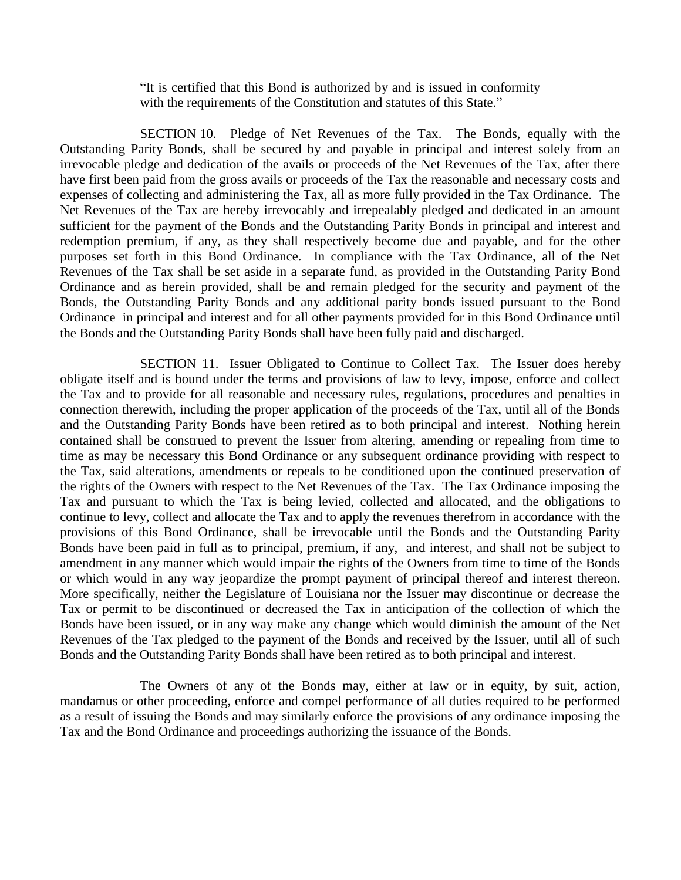"It is certified that this Bond is authorized by and is issued in conformity with the requirements of the Constitution and statutes of this State."

SECTION 10. Pledge of Net Revenues of the Tax. The Bonds, equally with the Outstanding Parity Bonds, shall be secured by and payable in principal and interest solely from an irrevocable pledge and dedication of the avails or proceeds of the Net Revenues of the Tax, after there have first been paid from the gross avails or proceeds of the Tax the reasonable and necessary costs and expenses of collecting and administering the Tax, all as more fully provided in the Tax Ordinance. The Net Revenues of the Tax are hereby irrevocably and irrepealably pledged and dedicated in an amount sufficient for the payment of the Bonds and the Outstanding Parity Bonds in principal and interest and redemption premium, if any, as they shall respectively become due and payable, and for the other purposes set forth in this Bond Ordinance. In compliance with the Tax Ordinance, all of the Net Revenues of the Tax shall be set aside in a separate fund, as provided in the Outstanding Parity Bond Ordinance and as herein provided, shall be and remain pledged for the security and payment of the Bonds, the Outstanding Parity Bonds and any additional parity bonds issued pursuant to the Bond Ordinance in principal and interest and for all other payments provided for in this Bond Ordinance until the Bonds and the Outstanding Parity Bonds shall have been fully paid and discharged.

SECTION 11. Issuer Obligated to Continue to Collect Tax. The Issuer does hereby obligate itself and is bound under the terms and provisions of law to levy, impose, enforce and collect the Tax and to provide for all reasonable and necessary rules, regulations, procedures and penalties in connection therewith, including the proper application of the proceeds of the Tax, until all of the Bonds and the Outstanding Parity Bonds have been retired as to both principal and interest. Nothing herein contained shall be construed to prevent the Issuer from altering, amending or repealing from time to time as may be necessary this Bond Ordinance or any subsequent ordinance providing with respect to the Tax, said alterations, amendments or repeals to be conditioned upon the continued preservation of the rights of the Owners with respect to the Net Revenues of the Tax. The Tax Ordinance imposing the Tax and pursuant to which the Tax is being levied, collected and allocated, and the obligations to continue to levy, collect and allocate the Tax and to apply the revenues therefrom in accordance with the provisions of this Bond Ordinance, shall be irrevocable until the Bonds and the Outstanding Parity Bonds have been paid in full as to principal, premium, if any, and interest, and shall not be subject to amendment in any manner which would impair the rights of the Owners from time to time of the Bonds or which would in any way jeopardize the prompt payment of principal thereof and interest thereon. More specifically, neither the Legislature of Louisiana nor the Issuer may discontinue or decrease the Tax or permit to be discontinued or decreased the Tax in anticipation of the collection of which the Bonds have been issued, or in any way make any change which would diminish the amount of the Net Revenues of the Tax pledged to the payment of the Bonds and received by the Issuer, until all of such Bonds and the Outstanding Parity Bonds shall have been retired as to both principal and interest.

The Owners of any of the Bonds may, either at law or in equity, by suit, action, mandamus or other proceeding, enforce and compel performance of all duties required to be performed as a result of issuing the Bonds and may similarly enforce the provisions of any ordinance imposing the Tax and the Bond Ordinance and proceedings authorizing the issuance of the Bonds.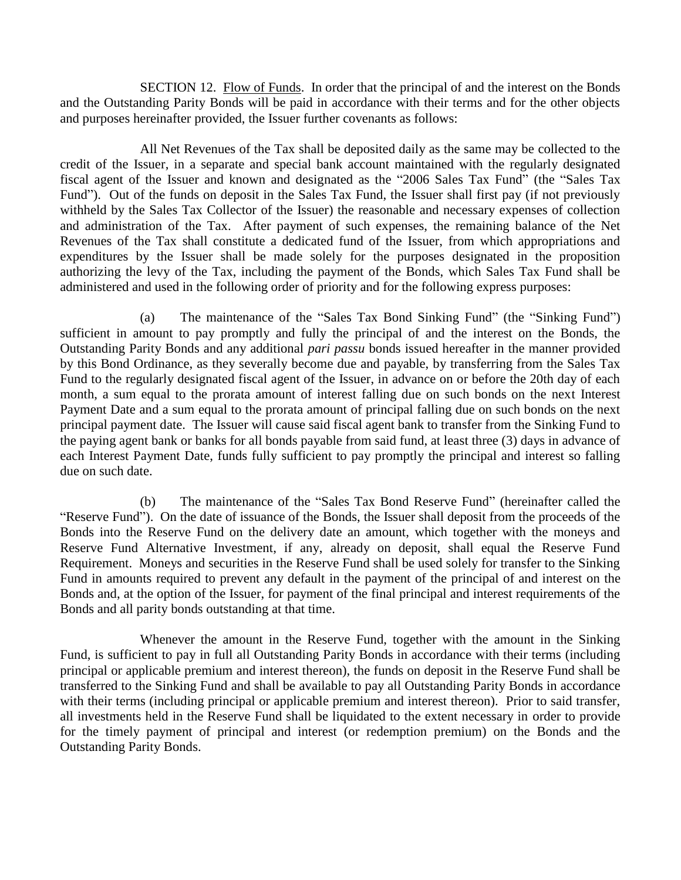SECTION 12. Flow of Funds. In order that the principal of and the interest on the Bonds and the Outstanding Parity Bonds will be paid in accordance with their terms and for the other objects and purposes hereinafter provided, the Issuer further covenants as follows:

All Net Revenues of the Tax shall be deposited daily as the same may be collected to the credit of the Issuer, in a separate and special bank account maintained with the regularly designated fiscal agent of the Issuer and known and designated as the "2006 Sales Tax Fund" (the "Sales Tax Fund"). Out of the funds on deposit in the Sales Tax Fund, the Issuer shall first pay (if not previously withheld by the Sales Tax Collector of the Issuer) the reasonable and necessary expenses of collection and administration of the Tax. After payment of such expenses, the remaining balance of the Net Revenues of the Tax shall constitute a dedicated fund of the Issuer, from which appropriations and expenditures by the Issuer shall be made solely for the purposes designated in the proposition authorizing the levy of the Tax, including the payment of the Bonds, which Sales Tax Fund shall be administered and used in the following order of priority and for the following express purposes:

(a) The maintenance of the "Sales Tax Bond Sinking Fund" (the "Sinking Fund") sufficient in amount to pay promptly and fully the principal of and the interest on the Bonds, the Outstanding Parity Bonds and any additional *pari passu* bonds issued hereafter in the manner provided by this Bond Ordinance, as they severally become due and payable, by transferring from the Sales Tax Fund to the regularly designated fiscal agent of the Issuer, in advance on or before the 20th day of each month, a sum equal to the prorata amount of interest falling due on such bonds on the next Interest Payment Date and a sum equal to the prorata amount of principal falling due on such bonds on the next principal payment date. The Issuer will cause said fiscal agent bank to transfer from the Sinking Fund to the paying agent bank or banks for all bonds payable from said fund, at least three (3) days in advance of each Interest Payment Date, funds fully sufficient to pay promptly the principal and interest so falling due on such date.

(b) The maintenance of the "Sales Tax Bond Reserve Fund" (hereinafter called the "Reserve Fund"). On the date of issuance of the Bonds, the Issuer shall deposit from the proceeds of the Bonds into the Reserve Fund on the delivery date an amount, which together with the moneys and Reserve Fund Alternative Investment, if any, already on deposit, shall equal the Reserve Fund Requirement. Moneys and securities in the Reserve Fund shall be used solely for transfer to the Sinking Fund in amounts required to prevent any default in the payment of the principal of and interest on the Bonds and, at the option of the Issuer, for payment of the final principal and interest requirements of the Bonds and all parity bonds outstanding at that time.

Whenever the amount in the Reserve Fund, together with the amount in the Sinking Fund, is sufficient to pay in full all Outstanding Parity Bonds in accordance with their terms (including principal or applicable premium and interest thereon), the funds on deposit in the Reserve Fund shall be transferred to the Sinking Fund and shall be available to pay all Outstanding Parity Bonds in accordance with their terms (including principal or applicable premium and interest thereon). Prior to said transfer, all investments held in the Reserve Fund shall be liquidated to the extent necessary in order to provide for the timely payment of principal and interest (or redemption premium) on the Bonds and the Outstanding Parity Bonds.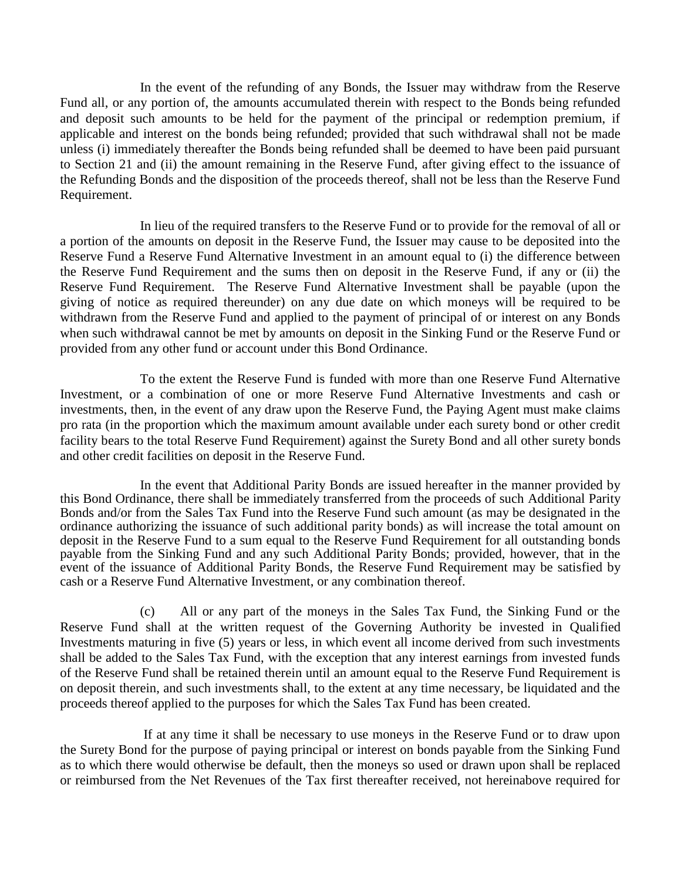In the event of the refunding of any Bonds, the Issuer may withdraw from the Reserve Fund all, or any portion of, the amounts accumulated therein with respect to the Bonds being refunded and deposit such amounts to be held for the payment of the principal or redemption premium, if applicable and interest on the bonds being refunded; provided that such withdrawal shall not be made unless (i) immediately thereafter the Bonds being refunded shall be deemed to have been paid pursuant to Section 21 and (ii) the amount remaining in the Reserve Fund, after giving effect to the issuance of the Refunding Bonds and the disposition of the proceeds thereof, shall not be less than the Reserve Fund Requirement.

In lieu of the required transfers to the Reserve Fund or to provide for the removal of all or a portion of the amounts on deposit in the Reserve Fund, the Issuer may cause to be deposited into the Reserve Fund a Reserve Fund Alternative Investment in an amount equal to (i) the difference between the Reserve Fund Requirement and the sums then on deposit in the Reserve Fund, if any or (ii) the Reserve Fund Requirement. The Reserve Fund Alternative Investment shall be payable (upon the giving of notice as required thereunder) on any due date on which moneys will be required to be withdrawn from the Reserve Fund and applied to the payment of principal of or interest on any Bonds when such withdrawal cannot be met by amounts on deposit in the Sinking Fund or the Reserve Fund or provided from any other fund or account under this Bond Ordinance.

To the extent the Reserve Fund is funded with more than one Reserve Fund Alternative Investment, or a combination of one or more Reserve Fund Alternative Investments and cash or investments, then, in the event of any draw upon the Reserve Fund, the Paying Agent must make claims pro rata (in the proportion which the maximum amount available under each surety bond or other credit facility bears to the total Reserve Fund Requirement) against the Surety Bond and all other surety bonds and other credit facilities on deposit in the Reserve Fund.

In the event that Additional Parity Bonds are issued hereafter in the manner provided by this Bond Ordinance, there shall be immediately transferred from the proceeds of such Additional Parity Bonds and/or from the Sales Tax Fund into the Reserve Fund such amount (as may be designated in the ordinance authorizing the issuance of such additional parity bonds) as will increase the total amount on deposit in the Reserve Fund to a sum equal to the Reserve Fund Requirement for all outstanding bonds payable from the Sinking Fund and any such Additional Parity Bonds; provided, however, that in the event of the issuance of Additional Parity Bonds, the Reserve Fund Requirement may be satisfied by cash or a Reserve Fund Alternative Investment, or any combination thereof.

(c) All or any part of the moneys in the Sales Tax Fund, the Sinking Fund or the Reserve Fund shall at the written request of the Governing Authority be invested in Qualified Investments maturing in five (5) years or less, in which event all income derived from such investments shall be added to the Sales Tax Fund, with the exception that any interest earnings from invested funds of the Reserve Fund shall be retained therein until an amount equal to the Reserve Fund Requirement is on deposit therein, and such investments shall, to the extent at any time necessary, be liquidated and the proceeds thereof applied to the purposes for which the Sales Tax Fund has been created.

If at any time it shall be necessary to use moneys in the Reserve Fund or to draw upon the Surety Bond for the purpose of paying principal or interest on bonds payable from the Sinking Fund as to which there would otherwise be default, then the moneys so used or drawn upon shall be replaced or reimbursed from the Net Revenues of the Tax first thereafter received, not hereinabove required for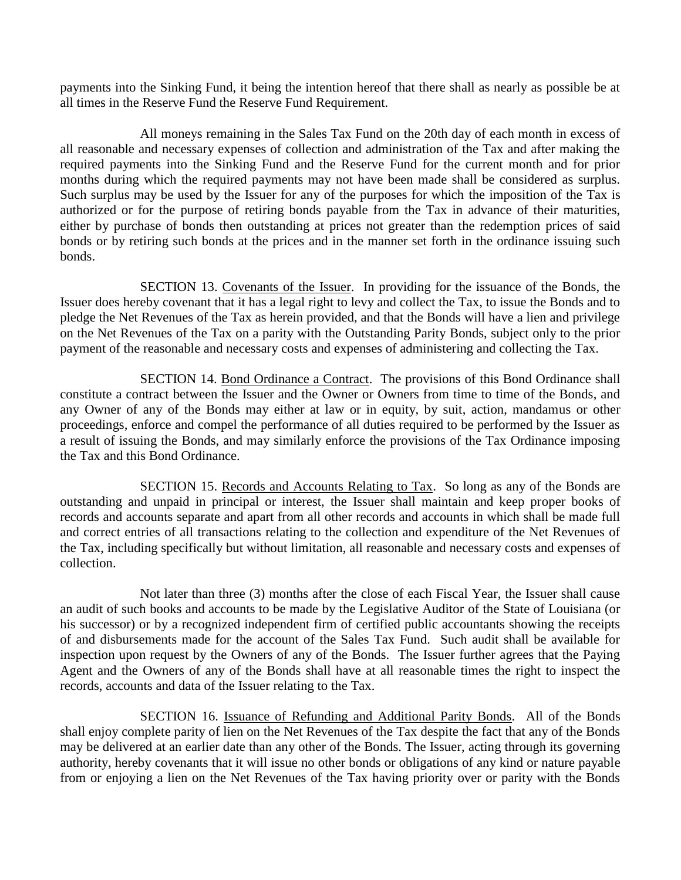payments into the Sinking Fund, it being the intention hereof that there shall as nearly as possible be at all times in the Reserve Fund the Reserve Fund Requirement.

All moneys remaining in the Sales Tax Fund on the 20th day of each month in excess of all reasonable and necessary expenses of collection and administration of the Tax and after making the required payments into the Sinking Fund and the Reserve Fund for the current month and for prior months during which the required payments may not have been made shall be considered as surplus. Such surplus may be used by the Issuer for any of the purposes for which the imposition of the Tax is authorized or for the purpose of retiring bonds payable from the Tax in advance of their maturities, either by purchase of bonds then outstanding at prices not greater than the redemption prices of said bonds or by retiring such bonds at the prices and in the manner set forth in the ordinance issuing such bonds.

SECTION 13. Covenants of the Issuer. In providing for the issuance of the Bonds, the Issuer does hereby covenant that it has a legal right to levy and collect the Tax, to issue the Bonds and to pledge the Net Revenues of the Tax as herein provided, and that the Bonds will have a lien and privilege on the Net Revenues of the Tax on a parity with the Outstanding Parity Bonds, subject only to the prior payment of the reasonable and necessary costs and expenses of administering and collecting the Tax.

SECTION 14. Bond Ordinance a Contract. The provisions of this Bond Ordinance shall constitute a contract between the Issuer and the Owner or Owners from time to time of the Bonds, and any Owner of any of the Bonds may either at law or in equity, by suit, action, mandamus or other proceedings, enforce and compel the performance of all duties required to be performed by the Issuer as a result of issuing the Bonds, and may similarly enforce the provisions of the Tax Ordinance imposing the Tax and this Bond Ordinance.

SECTION 15. Records and Accounts Relating to Tax. So long as any of the Bonds are outstanding and unpaid in principal or interest, the Issuer shall maintain and keep proper books of records and accounts separate and apart from all other records and accounts in which shall be made full and correct entries of all transactions relating to the collection and expenditure of the Net Revenues of the Tax, including specifically but without limitation, all reasonable and necessary costs and expenses of collection.

Not later than three (3) months after the close of each Fiscal Year, the Issuer shall cause an audit of such books and accounts to be made by the Legislative Auditor of the State of Louisiana (or his successor) or by a recognized independent firm of certified public accountants showing the receipts of and disbursements made for the account of the Sales Tax Fund. Such audit shall be available for inspection upon request by the Owners of any of the Bonds. The Issuer further agrees that the Paying Agent and the Owners of any of the Bonds shall have at all reasonable times the right to inspect the records, accounts and data of the Issuer relating to the Tax.

SECTION 16. Issuance of Refunding and Additional Parity Bonds. All of the Bonds shall enjoy complete parity of lien on the Net Revenues of the Tax despite the fact that any of the Bonds may be delivered at an earlier date than any other of the Bonds. The Issuer, acting through its governing authority, hereby covenants that it will issue no other bonds or obligations of any kind or nature payable from or enjoying a lien on the Net Revenues of the Tax having priority over or parity with the Bonds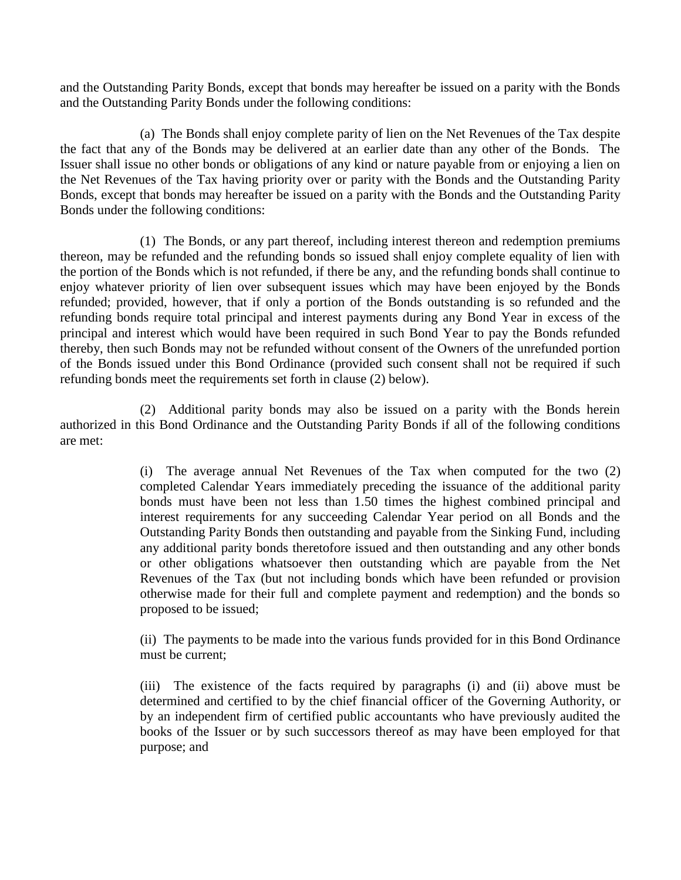and the Outstanding Parity Bonds, except that bonds may hereafter be issued on a parity with the Bonds and the Outstanding Parity Bonds under the following conditions:

(a) The Bonds shall enjoy complete parity of lien on the Net Revenues of the Tax despite the fact that any of the Bonds may be delivered at an earlier date than any other of the Bonds. The Issuer shall issue no other bonds or obligations of any kind or nature payable from or enjoying a lien on the Net Revenues of the Tax having priority over or parity with the Bonds and the Outstanding Parity Bonds, except that bonds may hereafter be issued on a parity with the Bonds and the Outstanding Parity Bonds under the following conditions:

(1) The Bonds, or any part thereof, including interest thereon and redemption premiums thereon, may be refunded and the refunding bonds so issued shall enjoy complete equality of lien with the portion of the Bonds which is not refunded, if there be any, and the refunding bonds shall continue to enjoy whatever priority of lien over subsequent issues which may have been enjoyed by the Bonds refunded; provided, however, that if only a portion of the Bonds outstanding is so refunded and the refunding bonds require total principal and interest payments during any Bond Year in excess of the principal and interest which would have been required in such Bond Year to pay the Bonds refunded thereby, then such Bonds may not be refunded without consent of the Owners of the unrefunded portion of the Bonds issued under this Bond Ordinance (provided such consent shall not be required if such refunding bonds meet the requirements set forth in clause (2) below).

(2) Additional parity bonds may also be issued on a parity with the Bonds herein authorized in this Bond Ordinance and the Outstanding Parity Bonds if all of the following conditions are met:

> (i) The average annual Net Revenues of the Tax when computed for the two (2) completed Calendar Years immediately preceding the issuance of the additional parity bonds must have been not less than 1.50 times the highest combined principal and interest requirements for any succeeding Calendar Year period on all Bonds and the Outstanding Parity Bonds then outstanding and payable from the Sinking Fund, including any additional parity bonds theretofore issued and then outstanding and any other bonds or other obligations whatsoever then outstanding which are payable from the Net Revenues of the Tax (but not including bonds which have been refunded or provision otherwise made for their full and complete payment and redemption) and the bonds so proposed to be issued;

> (ii) The payments to be made into the various funds provided for in this Bond Ordinance must be current;

> (iii) The existence of the facts required by paragraphs (i) and (ii) above must be determined and certified to by the chief financial officer of the Governing Authority, or by an independent firm of certified public accountants who have previously audited the books of the Issuer or by such successors thereof as may have been employed for that purpose; and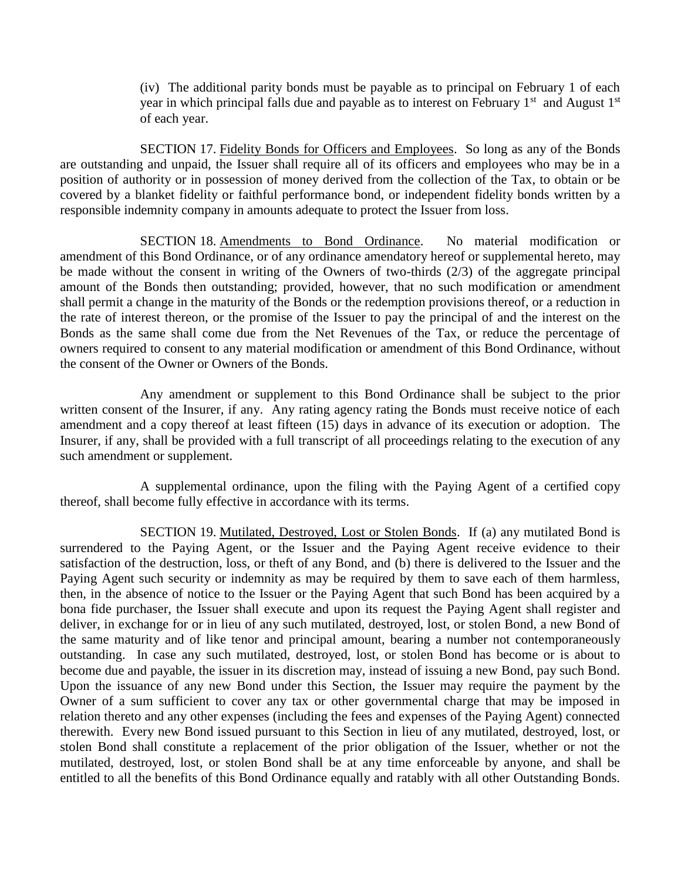(iv) The additional parity bonds must be payable as to principal on February 1 of each year in which principal falls due and payable as to interest on February  $1<sup>st</sup>$  and August  $1<sup>st</sup>$ of each year.

SECTION 17. Fidelity Bonds for Officers and Employees. So long as any of the Bonds are outstanding and unpaid, the Issuer shall require all of its officers and employees who may be in a position of authority or in possession of money derived from the collection of the Tax, to obtain or be covered by a blanket fidelity or faithful performance bond, or independent fidelity bonds written by a responsible indemnity company in amounts adequate to protect the Issuer from loss.

SECTION 18. Amendments to Bond Ordinance. No material modification or amendment of this Bond Ordinance, or of any ordinance amendatory hereof or supplemental hereto, may be made without the consent in writing of the Owners of two-thirds (2/3) of the aggregate principal amount of the Bonds then outstanding; provided, however, that no such modification or amendment shall permit a change in the maturity of the Bonds or the redemption provisions thereof, or a reduction in the rate of interest thereon, or the promise of the Issuer to pay the principal of and the interest on the Bonds as the same shall come due from the Net Revenues of the Tax, or reduce the percentage of owners required to consent to any material modification or amendment of this Bond Ordinance, without the consent of the Owner or Owners of the Bonds.

Any amendment or supplement to this Bond Ordinance shall be subject to the prior written consent of the Insurer, if any. Any rating agency rating the Bonds must receive notice of each amendment and a copy thereof at least fifteen (15) days in advance of its execution or adoption. The Insurer, if any, shall be provided with a full transcript of all proceedings relating to the execution of any such amendment or supplement.

A supplemental ordinance, upon the filing with the Paying Agent of a certified copy thereof, shall become fully effective in accordance with its terms.

SECTION 19. Mutilated, Destroyed, Lost or Stolen Bonds. If (a) any mutilated Bond is surrendered to the Paying Agent, or the Issuer and the Paying Agent receive evidence to their satisfaction of the destruction, loss, or theft of any Bond, and (b) there is delivered to the Issuer and the Paying Agent such security or indemnity as may be required by them to save each of them harmless, then, in the absence of notice to the Issuer or the Paying Agent that such Bond has been acquired by a bona fide purchaser, the Issuer shall execute and upon its request the Paying Agent shall register and deliver, in exchange for or in lieu of any such mutilated, destroyed, lost, or stolen Bond, a new Bond of the same maturity and of like tenor and principal amount, bearing a number not contemporaneously outstanding. In case any such mutilated, destroyed, lost, or stolen Bond has become or is about to become due and payable, the issuer in its discretion may, instead of issuing a new Bond, pay such Bond. Upon the issuance of any new Bond under this Section, the Issuer may require the payment by the Owner of a sum sufficient to cover any tax or other governmental charge that may be imposed in relation thereto and any other expenses (including the fees and expenses of the Paying Agent) connected therewith. Every new Bond issued pursuant to this Section in lieu of any mutilated, destroyed, lost, or stolen Bond shall constitute a replacement of the prior obligation of the Issuer, whether or not the mutilated, destroyed, lost, or stolen Bond shall be at any time enforceable by anyone, and shall be entitled to all the benefits of this Bond Ordinance equally and ratably with all other Outstanding Bonds.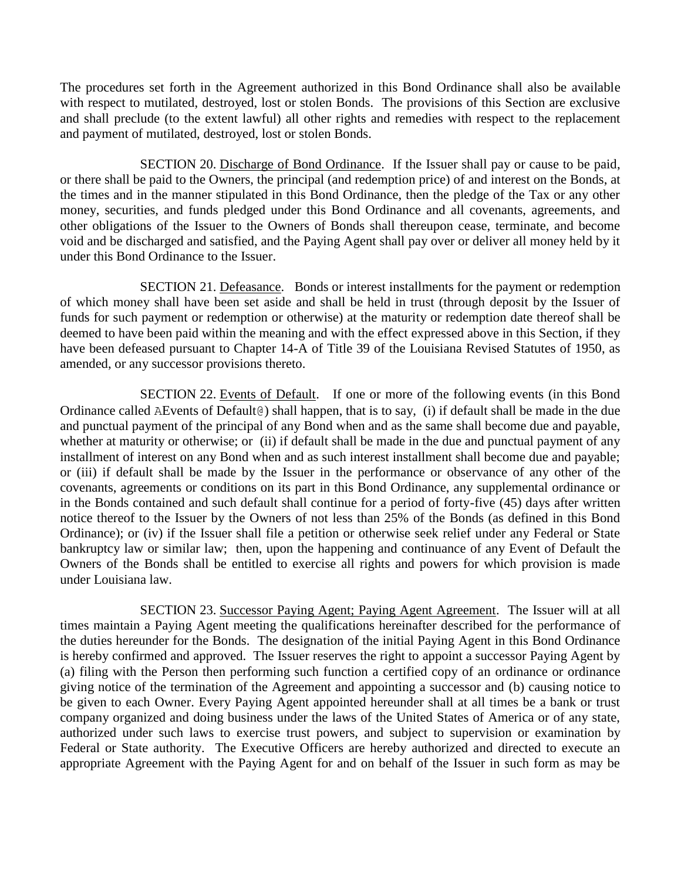The procedures set forth in the Agreement authorized in this Bond Ordinance shall also be available with respect to mutilated, destroyed, lost or stolen Bonds. The provisions of this Section are exclusive and shall preclude (to the extent lawful) all other rights and remedies with respect to the replacement and payment of mutilated, destroyed, lost or stolen Bonds.

SECTION 20. Discharge of Bond Ordinance. If the Issuer shall pay or cause to be paid, or there shall be paid to the Owners, the principal (and redemption price) of and interest on the Bonds, at the times and in the manner stipulated in this Bond Ordinance, then the pledge of the Tax or any other money, securities, and funds pledged under this Bond Ordinance and all covenants, agreements, and other obligations of the Issuer to the Owners of Bonds shall thereupon cease, terminate, and become void and be discharged and satisfied, and the Paying Agent shall pay over or deliver all money held by it under this Bond Ordinance to the Issuer.

SECTION 21. Defeasance. Bonds or interest installments for the payment or redemption of which money shall have been set aside and shall be held in trust (through deposit by the Issuer of funds for such payment or redemption or otherwise) at the maturity or redemption date thereof shall be deemed to have been paid within the meaning and with the effect expressed above in this Section, if they have been defeased pursuant to Chapter 14-A of Title 39 of the Louisiana Revised Statutes of 1950, as amended, or any successor provisions thereto.

SECTION 22. Events of Default. If one or more of the following events (in this Bond Ordinance called AEvents of Default@) shall happen, that is to say, (i) if default shall be made in the due and punctual payment of the principal of any Bond when and as the same shall become due and payable, whether at maturity or otherwise; or (ii) if default shall be made in the due and punctual payment of any installment of interest on any Bond when and as such interest installment shall become due and payable; or (iii) if default shall be made by the Issuer in the performance or observance of any other of the covenants, agreements or conditions on its part in this Bond Ordinance, any supplemental ordinance or in the Bonds contained and such default shall continue for a period of forty-five (45) days after written notice thereof to the Issuer by the Owners of not less than 25% of the Bonds (as defined in this Bond Ordinance); or (iv) if the Issuer shall file a petition or otherwise seek relief under any Federal or State bankruptcy law or similar law; then, upon the happening and continuance of any Event of Default the Owners of the Bonds shall be entitled to exercise all rights and powers for which provision is made under Louisiana law.

SECTION 23. Successor Paying Agent; Paying Agent Agreement. The Issuer will at all times maintain a Paying Agent meeting the qualifications hereinafter described for the performance of the duties hereunder for the Bonds. The designation of the initial Paying Agent in this Bond Ordinance is hereby confirmed and approved. The Issuer reserves the right to appoint a successor Paying Agent by (a) filing with the Person then performing such function a certified copy of an ordinance or ordinance giving notice of the termination of the Agreement and appointing a successor and (b) causing notice to be given to each Owner. Every Paying Agent appointed hereunder shall at all times be a bank or trust company organized and doing business under the laws of the United States of America or of any state, authorized under such laws to exercise trust powers, and subject to supervision or examination by Federal or State authority. The Executive Officers are hereby authorized and directed to execute an appropriate Agreement with the Paying Agent for and on behalf of the Issuer in such form as may be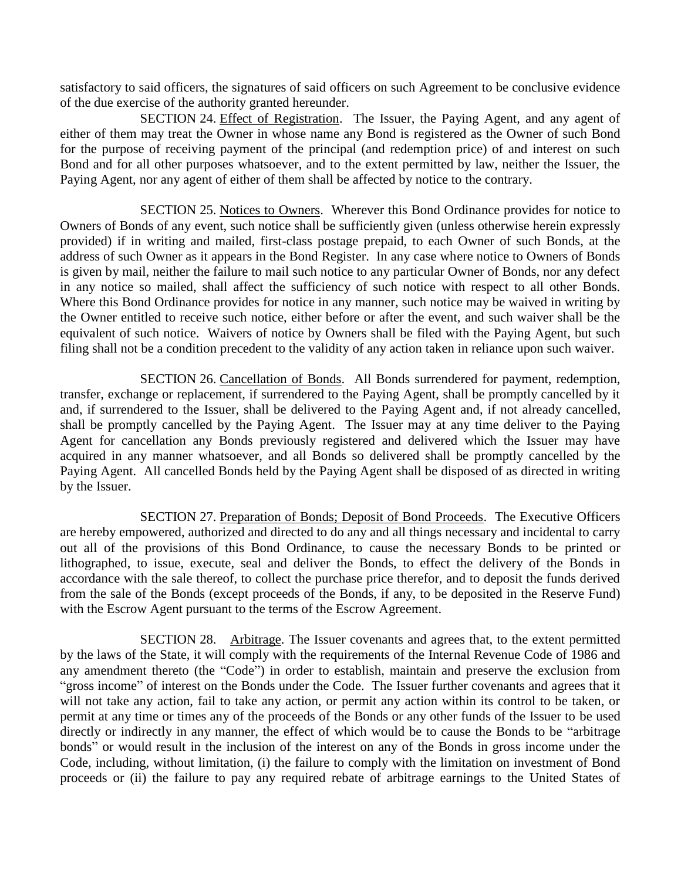satisfactory to said officers, the signatures of said officers on such Agreement to be conclusive evidence of the due exercise of the authority granted hereunder.

SECTION 24. Effect of Registration. The Issuer, the Paying Agent, and any agent of either of them may treat the Owner in whose name any Bond is registered as the Owner of such Bond for the purpose of receiving payment of the principal (and redemption price) of and interest on such Bond and for all other purposes whatsoever, and to the extent permitted by law, neither the Issuer, the Paying Agent, nor any agent of either of them shall be affected by notice to the contrary.

SECTION 25. Notices to Owners. Wherever this Bond Ordinance provides for notice to Owners of Bonds of any event, such notice shall be sufficiently given (unless otherwise herein expressly provided) if in writing and mailed, first-class postage prepaid, to each Owner of such Bonds, at the address of such Owner as it appears in the Bond Register. In any case where notice to Owners of Bonds is given by mail, neither the failure to mail such notice to any particular Owner of Bonds, nor any defect in any notice so mailed, shall affect the sufficiency of such notice with respect to all other Bonds. Where this Bond Ordinance provides for notice in any manner, such notice may be waived in writing by the Owner entitled to receive such notice, either before or after the event, and such waiver shall be the equivalent of such notice. Waivers of notice by Owners shall be filed with the Paying Agent, but such filing shall not be a condition precedent to the validity of any action taken in reliance upon such waiver.

SECTION 26. Cancellation of Bonds. All Bonds surrendered for payment, redemption, transfer, exchange or replacement, if surrendered to the Paying Agent, shall be promptly cancelled by it and, if surrendered to the Issuer, shall be delivered to the Paying Agent and, if not already cancelled, shall be promptly cancelled by the Paying Agent. The Issuer may at any time deliver to the Paying Agent for cancellation any Bonds previously registered and delivered which the Issuer may have acquired in any manner whatsoever, and all Bonds so delivered shall be promptly cancelled by the Paying Agent. All cancelled Bonds held by the Paying Agent shall be disposed of as directed in writing by the Issuer.

SECTION 27. Preparation of Bonds; Deposit of Bond Proceeds. The Executive Officers are hereby empowered, authorized and directed to do any and all things necessary and incidental to carry out all of the provisions of this Bond Ordinance, to cause the necessary Bonds to be printed or lithographed, to issue, execute, seal and deliver the Bonds, to effect the delivery of the Bonds in accordance with the sale thereof, to collect the purchase price therefor, and to deposit the funds derived from the sale of the Bonds (except proceeds of the Bonds, if any, to be deposited in the Reserve Fund) with the Escrow Agent pursuant to the terms of the Escrow Agreement.

SECTION 28. Arbitrage. The Issuer covenants and agrees that, to the extent permitted by the laws of the State, it will comply with the requirements of the Internal Revenue Code of 1986 and any amendment thereto (the "Code") in order to establish, maintain and preserve the exclusion from "gross income" of interest on the Bonds under the Code. The Issuer further covenants and agrees that it will not take any action, fail to take any action, or permit any action within its control to be taken, or permit at any time or times any of the proceeds of the Bonds or any other funds of the Issuer to be used directly or indirectly in any manner, the effect of which would be to cause the Bonds to be "arbitrage bonds" or would result in the inclusion of the interest on any of the Bonds in gross income under the Code, including, without limitation, (i) the failure to comply with the limitation on investment of Bond proceeds or (ii) the failure to pay any required rebate of arbitrage earnings to the United States of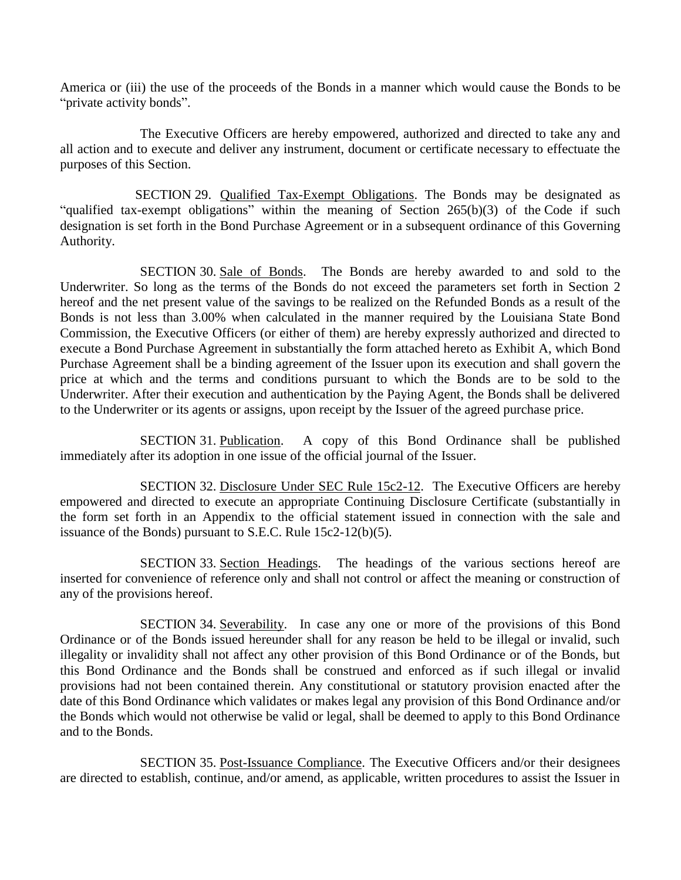America or (iii) the use of the proceeds of the Bonds in a manner which would cause the Bonds to be "private activity bonds".

The Executive Officers are hereby empowered, authorized and directed to take any and all action and to execute and deliver any instrument, document or certificate necessary to effectuate the purposes of this Section.

SECTION 29. Qualified Tax-Exempt Obligations. The Bonds may be designated as "qualified tax-exempt obligations" within the meaning of Section 265(b)(3) of the Code if such designation is set forth in the Bond Purchase Agreement or in a subsequent ordinance of this Governing Authority.

SECTION 30. Sale of Bonds. The Bonds are hereby awarded to and sold to the Underwriter. So long as the terms of the Bonds do not exceed the parameters set forth in Section 2 hereof and the net present value of the savings to be realized on the Refunded Bonds as a result of the Bonds is not less than 3.00% when calculated in the manner required by the Louisiana State Bond Commission, the Executive Officers (or either of them) are hereby expressly authorized and directed to execute a Bond Purchase Agreement in substantially the form attached hereto as Exhibit A, which Bond Purchase Agreement shall be a binding agreement of the Issuer upon its execution and shall govern the price at which and the terms and conditions pursuant to which the Bonds are to be sold to the Underwriter. After their execution and authentication by the Paying Agent, the Bonds shall be delivered to the Underwriter or its agents or assigns, upon receipt by the Issuer of the agreed purchase price.

SECTION 31. Publication. A copy of this Bond Ordinance shall be published immediately after its adoption in one issue of the official journal of the Issuer.

 SECTION 32. Disclosure Under SEC Rule 15c2-12. The Executive Officers are hereby empowered and directed to execute an appropriate Continuing Disclosure Certificate (substantially in the form set forth in an Appendix to the official statement issued in connection with the sale and issuance of the Bonds) pursuant to S.E.C. Rule 15c2-12(b)(5).

 SECTION 33. Section Headings. The headings of the various sections hereof are inserted for convenience of reference only and shall not control or affect the meaning or construction of any of the provisions hereof.

SECTION 34. Severability. In case any one or more of the provisions of this Bond Ordinance or of the Bonds issued hereunder shall for any reason be held to be illegal or invalid, such illegality or invalidity shall not affect any other provision of this Bond Ordinance or of the Bonds, but this Bond Ordinance and the Bonds shall be construed and enforced as if such illegal or invalid provisions had not been contained therein. Any constitutional or statutory provision enacted after the date of this Bond Ordinance which validates or makes legal any provision of this Bond Ordinance and/or the Bonds which would not otherwise be valid or legal, shall be deemed to apply to this Bond Ordinance and to the Bonds.

SECTION 35. Post-Issuance Compliance. The Executive Officers and/or their designees are directed to establish, continue, and/or amend, as applicable, written procedures to assist the Issuer in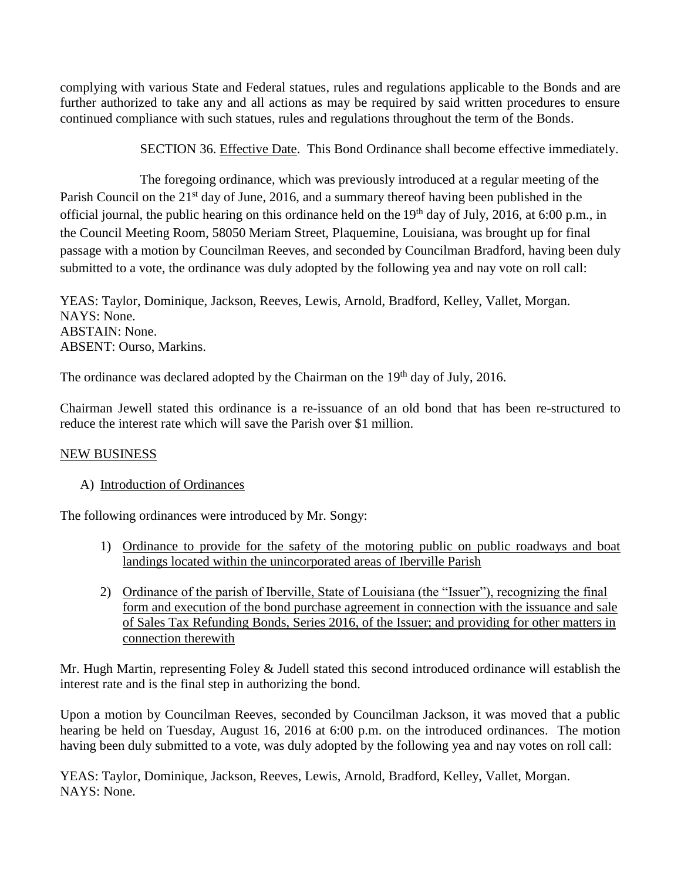complying with various State and Federal statues, rules and regulations applicable to the Bonds and are further authorized to take any and all actions as may be required by said written procedures to ensure continued compliance with such statues, rules and regulations throughout the term of the Bonds.

SECTION 36. Effective Date. This Bond Ordinance shall become effective immediately.

 The foregoing ordinance, which was previously introduced at a regular meeting of the Parish Council on the 21<sup>st</sup> day of June, 2016, and a summary thereof having been published in the official journal, the public hearing on this ordinance held on the  $19<sup>th</sup>$  day of July, 2016, at 6:00 p.m., in the Council Meeting Room, 58050 Meriam Street, Plaquemine, Louisiana, was brought up for final passage with a motion by Councilman Reeves, and seconded by Councilman Bradford, having been duly submitted to a vote, the ordinance was duly adopted by the following yea and nay vote on roll call:

YEAS: Taylor, Dominique, Jackson, Reeves, Lewis, Arnold, Bradford, Kelley, Vallet, Morgan. NAYS: None. ABSTAIN: None. ABSENT: Ourso, Markins.

The ordinance was declared adopted by the Chairman on the  $19<sup>th</sup>$  day of July, 2016.

Chairman Jewell stated this ordinance is a re-issuance of an old bond that has been re-structured to reduce the interest rate which will save the Parish over \$1 million.

# NEW BUSINESS

# A) Introduction of Ordinances

The following ordinances were introduced by Mr. Songy:

- 1) Ordinance to provide for the safety of the motoring public on public roadways and boat landings located within the unincorporated areas of Iberville Parish
- 2) Ordinance of the parish of Iberville, State of Louisiana (the "Issuer"), recognizing the final form and execution of the bond purchase agreement in connection with the issuance and sale of Sales Tax Refunding Bonds, Series 2016, of the Issuer; and providing for other matters in connection therewith

Mr. Hugh Martin, representing Foley & Judell stated this second introduced ordinance will establish the interest rate and is the final step in authorizing the bond.

Upon a motion by Councilman Reeves, seconded by Councilman Jackson, it was moved that a public hearing be held on Tuesday, August 16, 2016 at 6:00 p.m. on the introduced ordinances. The motion having been duly submitted to a vote, was duly adopted by the following yea and nay votes on roll call:

YEAS: Taylor, Dominique, Jackson, Reeves, Lewis, Arnold, Bradford, Kelley, Vallet, Morgan. NAYS: None.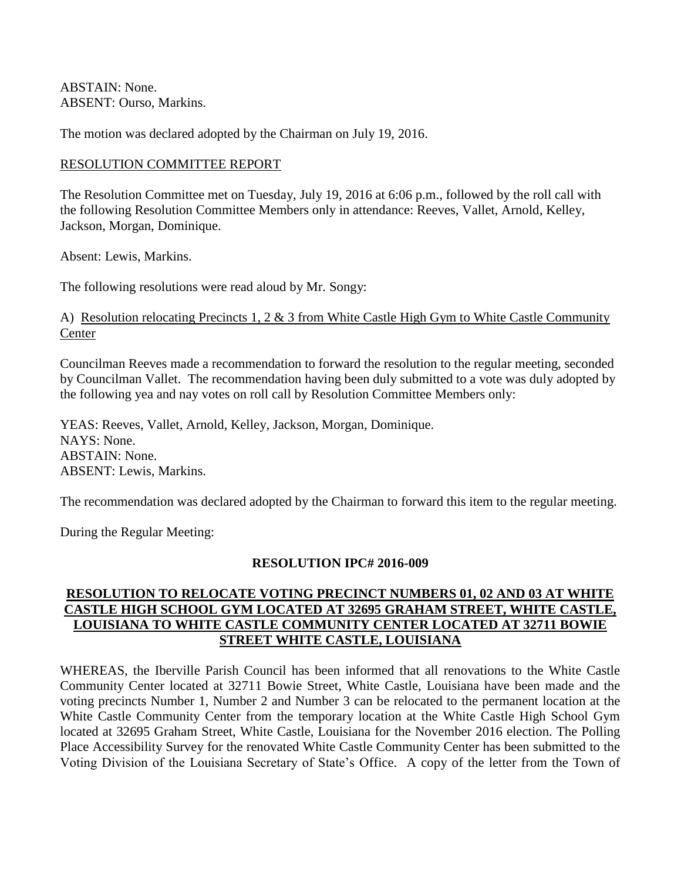ABSTAIN: None. ABSENT: Ourso, Markins.

The motion was declared adopted by the Chairman on July 19, 2016.

### RESOLUTION COMMITTEE REPORT

The Resolution Committee met on Tuesday, July 19, 2016 at 6:06 p.m., followed by the roll call with the following Resolution Committee Members only in attendance: Reeves, Vallet, Arnold, Kelley, Jackson, Morgan, Dominique.

Absent: Lewis, Markins.

The following resolutions were read aloud by Mr. Songy:

### A) Resolution relocating Precincts 1, 2 & 3 from White Castle High Gym to White Castle Community Center

Councilman Reeves made a recommendation to forward the resolution to the regular meeting, seconded by Councilman Vallet. The recommendation having been duly submitted to a vote was duly adopted by the following yea and nay votes on roll call by Resolution Committee Members only:

YEAS: Reeves, Vallet, Arnold, Kelley, Jackson, Morgan, Dominique. NAYS: None. ABSTAIN: None. ABSENT: Lewis, Markins.

The recommendation was declared adopted by the Chairman to forward this item to the regular meeting.

During the Regular Meeting:

### **RESOLUTION IPC# 2016-009**

# **RESOLUTION TO RELOCATE VOTING PRECINCT NUMBERS 01, 02 AND 03 AT WHITE CASTLE HIGH SCHOOL GYM LOCATED AT 32695 GRAHAM STREET, WHITE CASTLE, LOUISIANA TO WHITE CASTLE COMMUNITY CENTER LOCATED AT 32711 BOWIE STREET WHITE CASTLE, LOUISIANA**

WHEREAS, the Iberville Parish Council has been informed that all renovations to the White Castle Community Center located at 32711 Bowie Street, White Castle, Louisiana have been made and the voting precincts Number 1, Number 2 and Number 3 can be relocated to the permanent location at the White Castle Community Center from the temporary location at the White Castle High School Gym located at 32695 Graham Street, White Castle, Louisiana for the November 2016 election. The Polling Place Accessibility Survey for the renovated White Castle Community Center has been submitted to the Voting Division of the Louisiana Secretary of State's Office. A copy of the letter from the Town of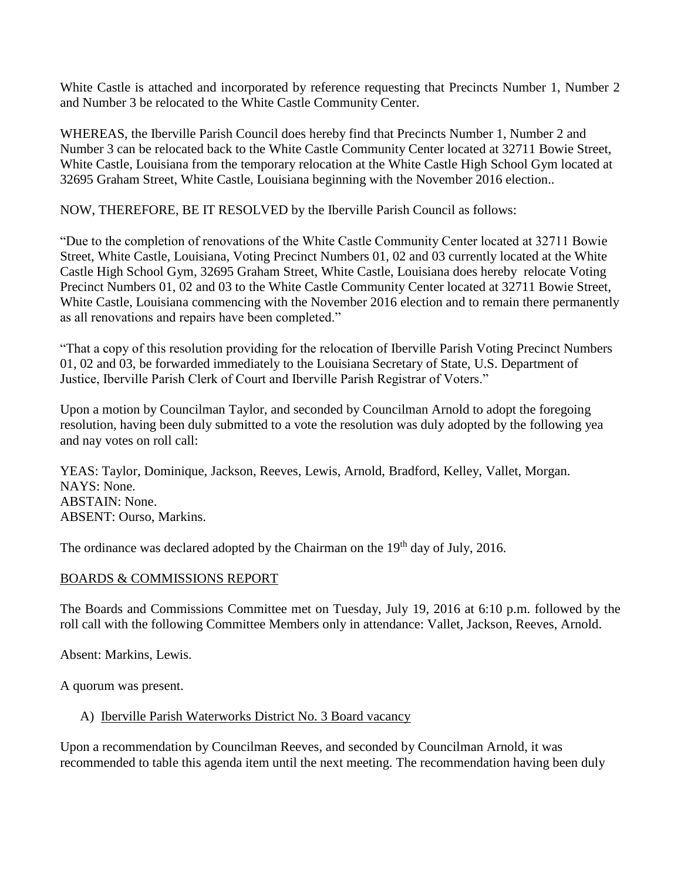White Castle is attached and incorporated by reference requesting that Precincts Number 1, Number 2 and Number 3 be relocated to the White Castle Community Center.

WHEREAS, the Iberville Parish Council does hereby find that Precincts Number 1, Number 2 and Number 3 can be relocated back to the White Castle Community Center located at 32711 Bowie Street, White Castle, Louisiana from the temporary relocation at the White Castle High School Gym located at 32695 Graham Street, White Castle, Louisiana beginning with the November 2016 election..

NOW, THEREFORE, BE IT RESOLVED by the Iberville Parish Council as follows:

"Due to the completion of renovations of the White Castle Community Center located at 32711 Bowie Street, White Castle, Louisiana, Voting Precinct Numbers 01, 02 and 03 currently located at the White Castle High School Gym, 32695 Graham Street, White Castle, Louisiana does hereby relocate Voting Precinct Numbers 01, 02 and 03 to the White Castle Community Center located at 32711 Bowie Street, White Castle, Louisiana commencing with the November 2016 election and to remain there permanently as all renovations and repairs have been completed."

"That a copy of this resolution providing for the relocation of Iberville Parish Voting Precinct Numbers 01, 02 and 03, be forwarded immediately to the Louisiana Secretary of State, U.S. Department of Justice, Iberville Parish Clerk of Court and Iberville Parish Registrar of Voters."

Upon a motion by Councilman Taylor, and seconded by Councilman Arnold to adopt the foregoing resolution, having been duly submitted to a vote the resolution was duly adopted by the following yea and nay votes on roll call:

YEAS: Taylor, Dominique, Jackson, Reeves, Lewis, Arnold, Bradford, Kelley, Vallet, Morgan. NAYS: None. ABSTAIN: None. ABSENT: Ourso, Markins.

The ordinance was declared adopted by the Chairman on the  $19<sup>th</sup>$  day of July, 2016.

# BOARDS & COMMISSIONS REPORT

The Boards and Commissions Committee met on Tuesday, July 19, 2016 at 6:10 p.m. followed by the roll call with the following Committee Members only in attendance: Vallet, Jackson, Reeves, Arnold.

Absent: Markins, Lewis.

A quorum was present.

# A) Iberville Parish Waterworks District No. 3 Board vacancy

Upon a recommendation by Councilman Reeves, and seconded by Councilman Arnold, it was recommended to table this agenda item until the next meeting. The recommendation having been duly